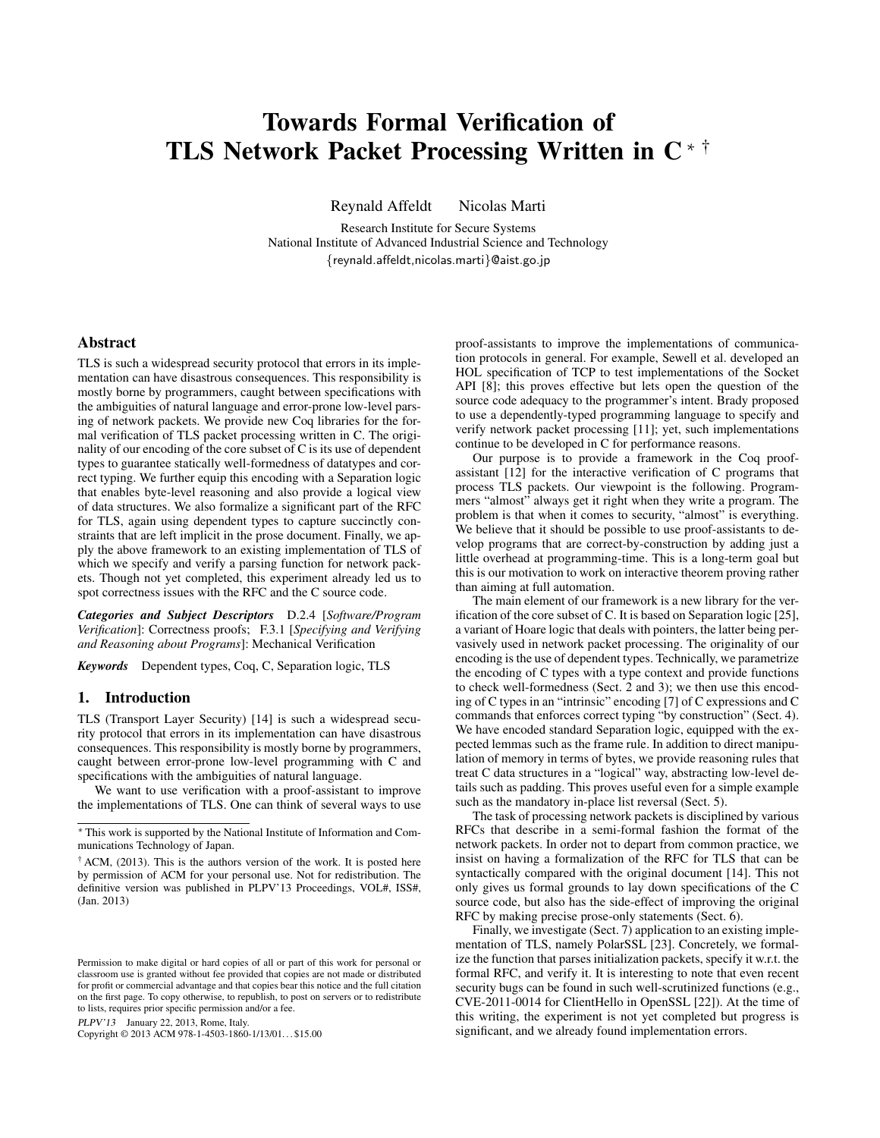# Towards Formal Verification of TLS Network Packet Processing Written in C <sup>∗</sup> †

Reynald Affeldt Nicolas Marti

Research Institute for Secure Systems National Institute of Advanced Industrial Science and Technology {reynald.affeldt,nicolas.marti}@aist.go.jp

# Abstract

TLS is such a widespread security protocol that errors in its implementation can have disastrous consequences. This responsibility is mostly borne by programmers, caught between specifications with the ambiguities of natural language and error-prone low-level parsing of network packets. We provide new Coq libraries for the formal verification of TLS packet processing written in C. The originality of our encoding of the core subset of C is its use of dependent types to guarantee statically well-formedness of datatypes and correct typing. We further equip this encoding with a Separation logic that enables byte-level reasoning and also provide a logical view of data structures. We also formalize a significant part of the RFC for TLS, again using dependent types to capture succinctly constraints that are left implicit in the prose document. Finally, we apply the above framework to an existing implementation of TLS of which we specify and verify a parsing function for network packets. Though not yet completed, this experiment already led us to spot correctness issues with the RFC and the C source code.

*Categories and Subject Descriptors* D.2.4 [*Software/Program Verification*]: Correctness proofs; F.3.1 [*Specifying and Verifying and Reasoning about Programs*]: Mechanical Verification

*Keywords* Dependent types, Coq, C, Separation logic, TLS

# 1. Introduction

TLS (Transport Layer Security) [14] is such a widespread security protocol that errors in its implementation can have disastrous consequences. This responsibility is mostly borne by programmers, caught between error-prone low-level programming with C and specifications with the ambiguities of natural language.

We want to use verification with a proof-assistant to improve the implementations of TLS. One can think of several ways to use

PLPV'13 January 22, 2013, Rome, Italy.

Copyright © 2013 ACM 978-1-4503-1860-1/13/01. . . \$15.00

proof-assistants to improve the implementations of communication protocols in general. For example, Sewell et al. developed an HOL specification of TCP to test implementations of the Socket API [8]; this proves effective but lets open the question of the source code adequacy to the programmer's intent. Brady proposed to use a dependently-typed programming language to specify and verify network packet processing [11]; yet, such implementations continue to be developed in C for performance reasons.

Our purpose is to provide a framework in the Coq proofassistant [12] for the interactive verification of C programs that process TLS packets. Our viewpoint is the following. Programmers "almost" always get it right when they write a program. The problem is that when it comes to security, "almost" is everything. We believe that it should be possible to use proof-assistants to develop programs that are correct-by-construction by adding just a little overhead at programming-time. This is a long-term goal but this is our motivation to work on interactive theorem proving rather than aiming at full automation.

The main element of our framework is a new library for the verification of the core subset of C. It is based on Separation logic [25], a variant of Hoare logic that deals with pointers, the latter being pervasively used in network packet processing. The originality of our encoding is the use of dependent types. Technically, we parametrize the encoding of C types with a type context and provide functions to check well-formedness (Sect. 2 and 3); we then use this encoding of C types in an "intrinsic" encoding [7] of C expressions and C commands that enforces correct typing "by construction" (Sect. 4). We have encoded standard Separation logic, equipped with the expected lemmas such as the frame rule. In addition to direct manipulation of memory in terms of bytes, we provide reasoning rules that treat C data structures in a "logical" way, abstracting low-level details such as padding. This proves useful even for a simple example such as the mandatory in-place list reversal (Sect. 5).

The task of processing network packets is disciplined by various RFCs that describe in a semi-formal fashion the format of the network packets. In order not to depart from common practice, we insist on having a formalization of the RFC for TLS that can be syntactically compared with the original document [14]. This not only gives us formal grounds to lay down specifications of the C source code, but also has the side-effect of improving the original RFC by making precise prose-only statements (Sect. 6).

Finally, we investigate (Sect. 7) application to an existing implementation of TLS, namely PolarSSL [23]. Concretely, we formalize the function that parses initialization packets, specify it w.r.t. the formal RFC, and verify it. It is interesting to note that even recent security bugs can be found in such well-scrutinized functions (e.g., CVE-2011-0014 for ClientHello in OpenSSL [22]). At the time of this writing, the experiment is not yet completed but progress is significant, and we already found implementation errors.

<sup>∗</sup> This work is supported by the National Institute of Information and Communications Technology of Japan.

 $\dagger$  ACM, (2013). This is the authors version of the work. It is posted here by permission of ACM for your personal use. Not for redistribution. The definitive version was published in PLPV'13 Proceedings, VOL#, ISS#, (Jan. 2013)

Permission to make digital or hard copies of all or part of this work for personal or classroom use is granted without fee provided that copies are not made or distributed for profit or commercial advantage and that copies bear this notice and the full citation on the first page. To copy otherwise, to republish, to post on servers or to redistribute to lists, requires prior specific permission and/or a fee.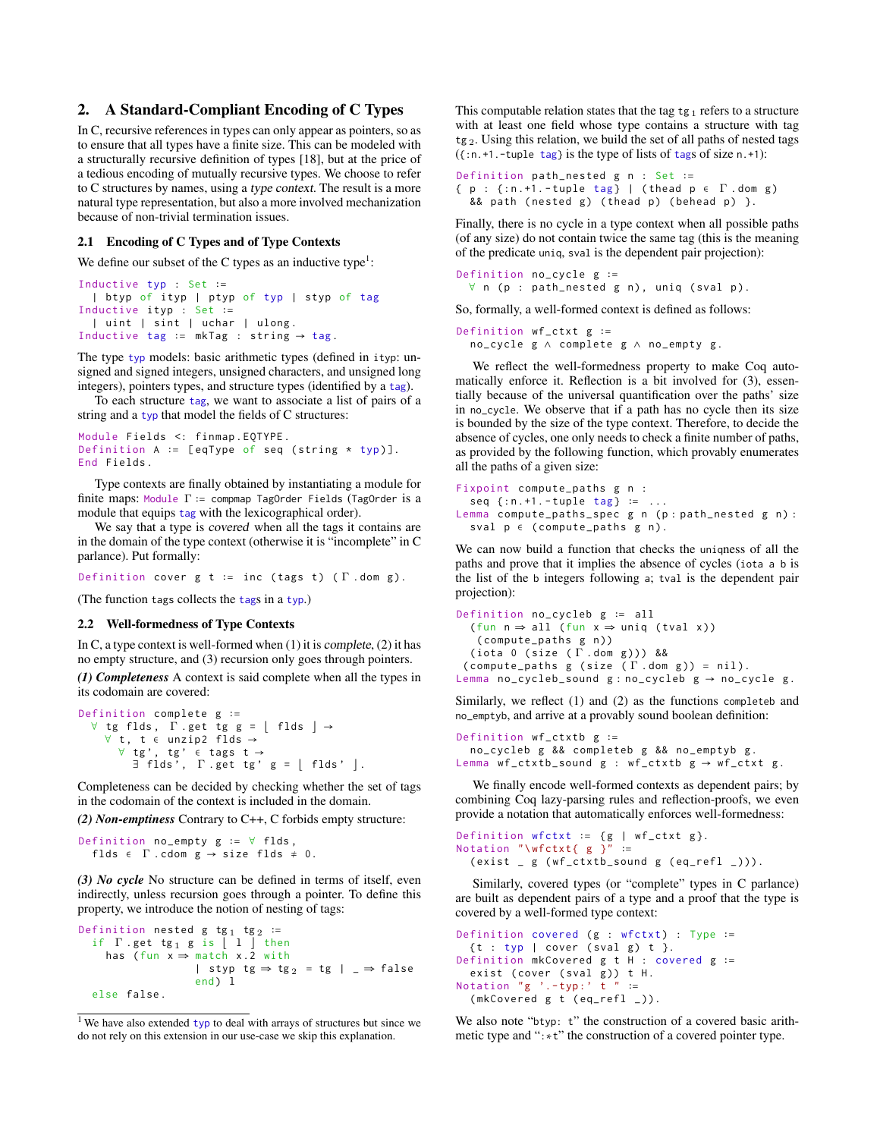# 2. A Standard-Compliant Encoding of C Types

In C, recursive references in types can only appear as pointers, so as to ensure that all types have a finite size. This can be modeled with a structurally recursive definition of types [18], but at the price of a tedious encoding of mutually recursive types. We choose to refer to C structures by names, using a type context. The result is a more natural type representation, but also a more involved mechanization because of non-trivial termination issues.

#### 2.1 Encoding of C Types and of Type Contexts

We define our subset of the C types as an inductive type<sup>1</sup>:

```
Inductive typ : Set ∶=
  | btyp of ityp | ptyp of typ | styp of tag
Inductive ityp : Set ∶=
  | uint | sint | uchar | ulong.
Inductive tag := mkTag : string \rightarrow tag.
```
The type typ models: basic arithmetic types (defined in ityp: unsigned and signed integers, unsigned characters, and unsigned long integers), pointers types, and structure types (identified by a tag).

To each structure tag, we want to associate a list of pairs of a string and a typ that model the fields of C structures:

```
Module Fields <: finmap.EQTYPE.
Definition A ∶= [ eqType of seq ( string * typ )].
End Fields .
```
Type contexts are finally obtained by instantiating a module for finite maps: Module  $\Gamma$  := compmap TagOrder Fields (TagOrder is a module that equips tag with the lexicographical order).

We say that a type is covered when all the tags it contains are in the domain of the type context (otherwise it is "incomplete" in C parlance). Put formally:

Definition cover g t := inc (tags t) ( $\Gamma$ .dom g).

(The function tags collects the tags in a typ.)

#### 2.2 Well-formedness of Type Contexts

In C, a type context is well-formed when  $(1)$  it is complete,  $(2)$  it has no empty structure, and (3) recursion only goes through pointers.

*(1) Completeness* A context is said complete when all the types in its codomain are covered:

```
Definition complete g ∶=
  \forall tg flds, \Gamma .get tg g = \left[ flds \right] \rightarrow∀ t , t ∈ unzip2 flds →
        \forall tg', tg' \in tags t \rightarrow\exists flds', \Gamma .get tg' g = | flds' |.
```
Completeness can be decided by checking whether the set of tags in the codomain of the context is included in the domain.

*(2) Non-emptiness* Contrary to C++, C forbids empty structure:

```
Definition no_empty g ∶= ∀ flds ,
  flds \in \Gamma. cdom g \rightarrow size flds \neq 0.
```
*(3) No cycle* No structure can be defined in terms of itself, even indirectly, unless recursion goes through a pointer. To define this property, we introduce the notion of nesting of tags:

```
Definition nested g tg<sub>1</sub> tg<sub>2</sub> :=
   if \Gamma . get tg<sub>1</sub> g is \begin{bmatrix} 1 \end{bmatrix} then
       has (fun x \Rightarrow match x \cdot 2 with
                               | styp tg \Rightarrow tg<sub>2</sub> = tg | _ \Rightarrow false
                               end) l
   else false .
```
This computable relation states that the tag  $tg_1$  refers to a structure with at least one field whose type contains a structure with tag  $tg_2$ . Using this relation, we build the set of all paths of nested tags  $({\text{...,}}+1.$ -tuple tag} is the type of lists of tags of size n.+1):

```
Definition path_nested g n : Set ∶=
{ p : {:n.+1.-tuple tag} | (thead p \in \Gamma.dom g)
  & path (nested g) (thead p) (behead p) }.
```
Finally, there is no cycle in a type context when all possible paths (of any size) do not contain twice the same tag (this is the meaning of the predicate uniq, sval is the dependent pair projection):

```
Definition no_cycle g ∶=
 ∀ n (p : path_nested g n), uniq (sval p).
```
So, formally, a well-formed context is defined as follows:

```
Definition wf ctxt g :=
  no_cycle g ∧ complete g ∧ no_empty g .
```
We reflect the well-formedness property to make Coq automatically enforce it. Reflection is a bit involved for (3), essentially because of the universal quantification over the paths' size in no\_cycle. We observe that if a path has no cycle then its size is bounded by the size of the type context. Therefore, to decide the absence of cycles, one only needs to check a finite number of paths, as provided by the following function, which provably enumerates all the paths of a given size:

```
Fixpoint compute_paths g n :
  seq { : n. +1. - tuple tag } := ...Lemma compute_paths_spec g n (p : path_nested g n) :
  sval p \in (compute\_paths \ g \ n).
```
We can now build a function that checks the uniqness of all the paths and prove that it implies the absence of cycles (iota a b is the list of the b integers following a; tval is the dependent pair projection):

```
Definition no_cycleb g ∶= all
  ( fun n \Rightarrow all ( fun x \Rightarrow uniq ( tval x))
    (compute_paths g n))
  ( iota 0 ( size ( Γ . dom g ))) &&
 ( compute_paths g ( size (\Gamma \cdot \text{dom } g)) = nil ).
Lemma no_cycleb_sound g : no\_cycleb g \rightarrow no\_cycle g.
```
Similarly, we reflect (1) and (2) as the functions completeb and no\_emptyb, and arrive at a provably sound boolean definition:

```
Definition wf_ctxtb g ∶=
  no_cycleb g && completeb g && no_emptyb g .
Lemma wf_ctxtb_sound g : wf_ctxtb g \rightarrow wf_ctxt g.
```
We finally encode well-formed contexts as dependent pairs; by combining Coq lazy-parsing rules and reflection-proofs, we even provide a notation that automatically enforces well-formedness:

```
Definition wfctxt := {g | wf_ctxt g}.
Notation "\wfctxt{ g }" :=(exist_g (wf_ctxtb_sound_g (eq_refl_))).
```
Similarly, covered types (or "complete" types in C parlance) are built as dependent pairs of a type and a proof that the type is covered by a well-formed type context:

```
Definition covered (g : wfctxt) : Type :=
  \{t : typ \mid cover (sval g) t \}.Definition mkCovered g t H : covered g ∶=
 exist (cover (sval g)) t H.
Notation "g'. -typ:' t " :=
  (mkCovered g t ( eq_refl _)).
```
We also note "btyp: t" the construction of a covered basic arithmetic type and ":∗t" the construction of a covered pointer type.

<sup>&</sup>lt;sup>1</sup> We have also extended typ to deal with arrays of structures but since we do not rely on this extension in our use-case we skip this explanation.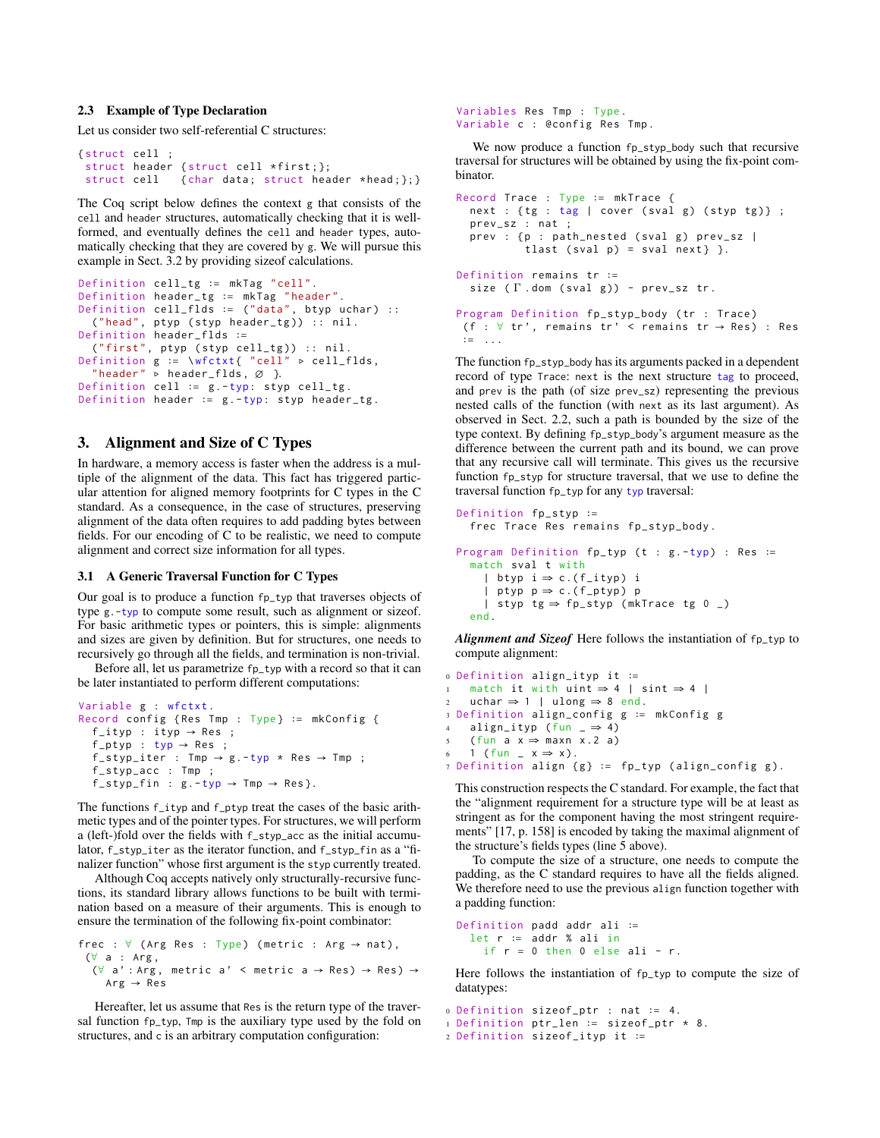## 2.3 Example of Type Declaration

Let us consider two self-referential C structures:

```
{ struct cell ;
 struct header { struct cell *first; };
 struct cell { char data; struct header * head; }; }
```
The Coq script below defines the context g that consists of the cell and header structures, automatically checking that it is wellformed, and eventually defines the cell and header types, automatically checking that they are covered by g. We will pursue this example in Sect. 3.2 by providing sizeof calculations.

```
Definition cell_tg ∶= mkTag " cell ".
Definition header_tg ∶= mkTag " header ".
Definition cell_flds ∶= (" data ", btyp uchar ) ::
  (" head ", ptyp ( styp header_tg )) :: nil .
Definition header_flds ∶=
  ("first", ptyp (styp cell_tg)) :: nil.
Definition g := \wfctxt{ "cell" ⊳ cell_flds,
  " header " \triangleright header_flds, \varnothing }.
Definition cell ∶= g . -typ: styp cell_tg .
Definition header := g .-typ: styp header_tg.
```
# 3. Alignment and Size of C Types

In hardware, a memory access is faster when the address is a multiple of the alignment of the data. This fact has triggered particular attention for aligned memory footprints for C types in the C standard. As a consequence, in the case of structures, preserving alignment of the data often requires to add padding bytes between fields. For our encoding of C to be realistic, we need to compute alignment and correct size information for all types.

#### 3.1 A Generic Traversal Function for C Types

Our goal is to produce a function fp\_typ that traverses objects of type g.-typ to compute some result, such as alignment or sizeof. For basic arithmetic types or pointers, this is simple: alignments and sizes are given by definition. But for structures, one needs to recursively go through all the fields, and termination is non-trivial.

Before all, let us parametrize fp\_typ with a record so that it can be later instantiated to perform different computations:

```
Variable g : wfctxt .
Record config {Res Tmp : Type} := mkConfig {
  f<sub>-</sub>ityp : ityp \rightarrow Res ;
  f<sub>-</sub>ptyp : typ \rightarrow Res ;
  f\_styp\_iter : Tmp \rightarrow g.-typ * Res \rightarrow Tmp ;
  f_styp_acc : Tmp ;
  f_styp_fin : g . -typ → Tmp → Res }.
```
The functions f\_ityp and f\_ptyp treat the cases of the basic arithmetic types and of the pointer types. For structures, we will perform a (left-)fold over the fields with f\_styp\_acc as the initial accumulator, f\_styp\_iter as the iterator function, and f\_styp\_fin as a "finalizer function" whose first argument is the styp currently treated.

Although Coq accepts natively only structurally-recursive functions, its standard library allows functions to be built with termination based on a measure of their arguments. This is enough to ensure the termination of the following fix-point combinator:

```
frec : \forall (Arg Res : Type) (metric : Arg \rightarrow nat),
 (∀ a : Arg ,
  (\forall a': \text{Arg}, \text{ metric } a' < \text{metric } a \rightarrow \text{Res}) \rightarrow \text{Res})Arg \rightarrow Res
```
Hereafter, let us assume that Res is the return type of the traversal function fp\_typ, Tmp is the auxiliary type used by the fold on structures, and c is an arbitrary computation configuration:

Variables Res Tmp : Type . Variable c : @config Res Tmp .

We now produce a function fp\_styp\_body such that recursive traversal for structures will be obtained by using the fix-point combinator.

```
Record Trace : Type ∶= mkTrace {
  next : {tg : tag | cover (sval g) (styp tg)};prev_sz : nat ;
  prev : {p : path_nested (sval g) prev_sz |
           tlast (sval p) = sval next} }.
Definition remains tr ∶=
  size (\Gamma.dom (sval g)) - prev_sz tr.
Program Definition fp_styp_body ( tr : Trace )
 (f : \forall tr', remains tr' < remains tr \rightarrow Res) : Res
 ∶= ...
```
The function fp\_styp\_body has its arguments packed in a dependent record of type Trace: next is the next structure tag to proceed, and prev is the path (of size prev\_sz) representing the previous nested calls of the function (with next as its last argument). As observed in Sect. 2.2, such a path is bounded by the size of the type context. By defining fp\_styp\_body's argument measure as the difference between the current path and its bound, we can prove that any recursive call will terminate. This gives us the recursive function fp\_styp for structure traversal, that we use to define the traversal function fp\_typ for any typ traversal:

```
Definition fp_styp ∶=
  frec Trace Res remains fp_styp_body .
Program Definition fp_typ ( t : g . - typ ) : Res ∶=
  match sval t with
    | btyp i \Rightarrow c. (f_ityp) i
     | ptyp p \Rightarrow c.(f_ptyp) p
    | styp tg \Rightarrow fp_styp (mkTrace tg 0 )end .
```
*Alignment and Sizeof* Here follows the instantiation of fp\_typ to compute alignment:

```
0 Definition align_ityp it ∶=
1 match it with uint ⇒ 4 | sint ⇒ 4 |
    uchar \Rightarrow 1 | ulong \Rightarrow 8 end.
3 Definition align_config g ∶= mkConfig g
4 align_ityp (fun \rightharpoonup 4)
5 ( fun a x \Rightarrow maxn x.2 a)
6 1 (fun x \Rightarrow x).
7 Definition align { g } ∶= fp_typ ( align_config g ).
```
This construction respects the C standard. For example, the fact that the "alignment requirement for a structure type will be at least as stringent as for the component having the most stringent requirements" [17, p. 158] is encoded by taking the maximal alignment of the structure's fields types (line 5 above).

To compute the size of a structure, one needs to compute the padding, as the C standard requires to have all the fields aligned. We therefore need to use the previous align function together with a padding function:

```
Definition padd addr ali ∶=
 let r ∶= addr % ali in
    if r = 0 then 0 else ali - r.
```
Here follows the instantiation of fp\_typ to compute the size of datatypes:

```
0 Definition sizeof_ptr : nat ∶= 4.
1 Definition ptr_len ∶= sizeof_ptr * 8.
2 Definition sizeof_ityp it ∶=
```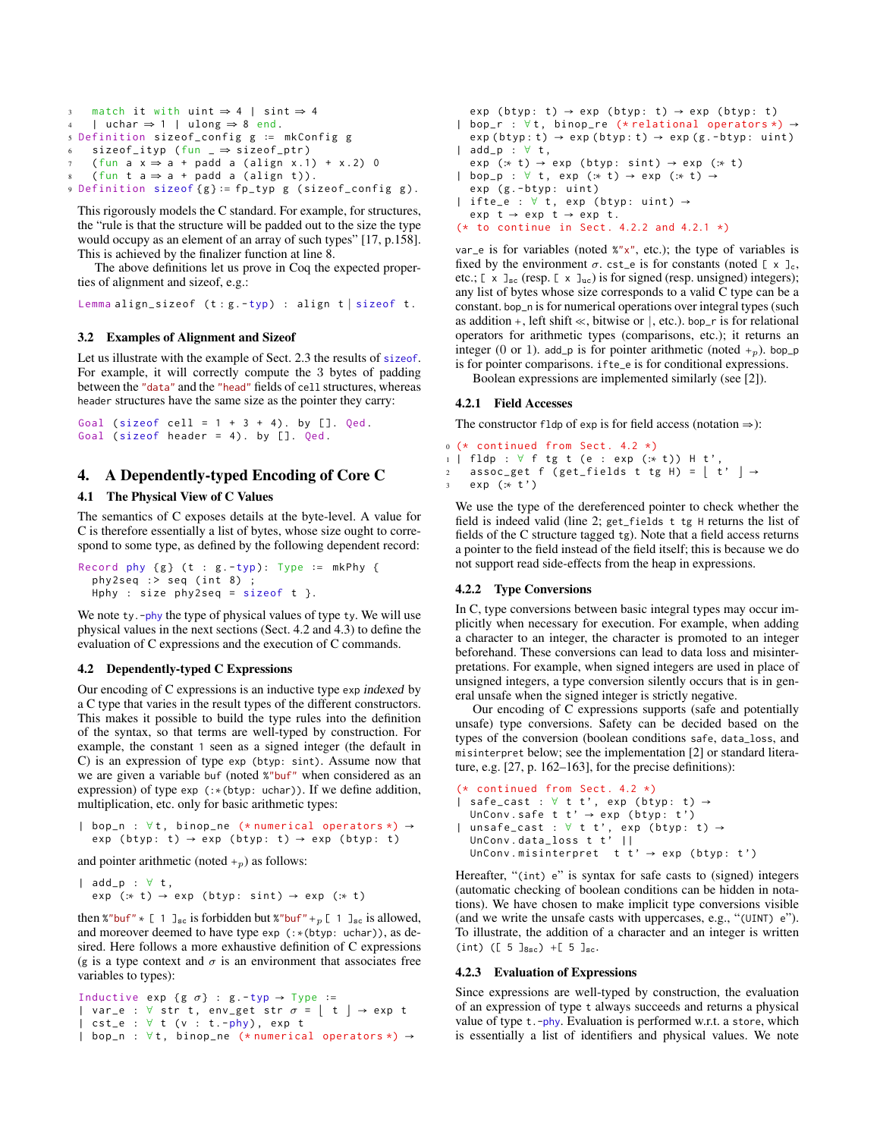```
3 match it with uint ⇒ 4 | sint ⇒ 4
    | uchar \Rightarrow 1 | ulong \Rightarrow 8 end.
5 Definition sizeof_config g ∶= mkConfig g
    sizeof\_ityp (fun \Rightarrow sizeof_ptr)
    (fun a x \Rightarrow a + padd a (align x.1) + x.2) 0
8 (fun t a \Rightarrow a + padd a (align t)).
9 Definition sizeof { g } ∶= fp_typ g ( sizeof_config g ).
```
This rigorously models the C standard. For example, for structures, the "rule is that the structure will be padded out to the size the type would occupy as an element of an array of such types" [17, p.158]. This is achieved by the finalizer function at line 8.

The above definitions let us prove in Coq the expected properties of alignment and sizeof, e.g.:

Lemma align\_sizeof ( t : g . -typ) : align t ∣ sizeof t .

## 3.2 Examples of Alignment and Sizeof

Let us illustrate with the example of Sect. 2.3 the results of sizeof. For example, it will correctly compute the 3 bytes of padding between the "data" and the "head" fields of cell structures, whereas header structures have the same size as the pointer they carry:

```
Goal (sizeof cell = 1 + 3 + 4). by []. Qed.
Goal ( sizeof header = 4). by []. Qed.
```
# 4. A Dependently-typed Encoding of Core C

# 4.1 The Physical View of C Values

The semantics of C exposes details at the byte-level. A value for C is therefore essentially a list of bytes, whose size ought to correspond to some type, as defined by the following dependent record:

```
Record phy {g} (t : g - typ): Type := mkPhy {f}phy2seq : > seq (int 8);
 Hphy : size phy2seq = sizeof t }.
```
We note ty. -phy the type of physical values of type ty. We will use physical values in the next sections (Sect. 4.2 and 4.3) to define the evaluation of C expressions and the execution of C commands.

## 4.2 Dependently-typed C Expressions

Our encoding of C expressions is an inductive type exp indexed by a C type that varies in the result types of the different constructors. This makes it possible to build the type rules into the definition of the syntax, so that terms are well-typed by construction. For example, the constant 1 seen as a signed integer (the default in C) is an expression of type exp (btyp: sint). Assume now that we are given a variable buf (noted %"buf" when considered as an expression) of type exp (:∗(btyp: uchar)). If we define addition, multiplication, etc. only for basic arithmetic types:

```
| bop_n : ∀t , binop_ne (* numerical operators *) →
  exp (btyp: t) \rightarrow exp (btyp: t) \rightarrow exp (btyp: t)
```
and pointer arithmetic (noted  $+_p$ ) as follows:

```
| add_p : ∀ t ,
 exp (:* t) → exp (btyp: sint) → exp (:* t)
```
then %"buf"  $*$  [ 1 ]<sub>sc</sub> is forbidden but %"buf" +p [ 1 ]<sub>sc</sub> is allowed, and moreover deemed to have type exp (:∗(btyp: uchar)), as desired. Here follows a more exhaustive definition of C expressions (g is a type context and  $\sigma$  is an environment that associates free variables to types):

```
Inductive exp {g \sigma} : g -typ \rightarrow Type :=
| var_e : \forall str t, env_get str \sigma = \begin{bmatrix} t \end{bmatrix} \rightarrow exp t
\vert cst_e : \forall t (\nu : t.-phy), exp t
| bop_n : ∀t , binop_ne (* numerical operators *) →
```

```
exp (btyp: t) \rightarrow exp (btyp: t) \rightarrow exp (btyp: t)
| bop_r : ∀t , binop_re (* relational operators *) →
  exp (btyp: t) \rightarrow exp (btyp: t) \rightarrow exp (g.-btyp: uint)| add_p : ∀ t ,
  exp (:* t) → exp (btyp: sint) → exp (:* t)
| bop_p : \forall t, exp (:* t) → exp (:* t) →
  exp (g.-btyp: uint)
| ifte_e : \forall t, exp (btyp: uint) \rightarrowexp t \rightarrow exp t \rightarrow exp t.
(* to continue in Sect. 4.2.2 and 4.2.1 *)
```
var e is for variables (noted  $x''x''$ , etc.); the type of variables is fixed by the environment  $\sigma$ . cst\_e is for constants (noted [ x ]<sub>c</sub>, etc.;  $[x \,]_{\text{sc}}$  (resp.  $[x \,]_{\text{uc}}$ ) is for signed (resp. unsigned) integers); any list of bytes whose size corresponds to a valid C type can be a constant. bop\_n is for numerical operations over integral types (such as addition +, left shift  $\ll$ , bitwise or |, etc.). bop\_r is for relational operators for arithmetic types (comparisons, etc.); it returns an integer (0 or 1). add\_p is for pointer arithmetic (noted  $+_p$ ). bop\_p is for pointer comparisons. ifte\_e is for conditional expressions.

Boolean expressions are implemented similarly (see [2]).

#### 4.2.1 Field Accesses

The constructor fldp of exp is for field access (notation  $\Rightarrow$ ):

```
0 (* continued from Sect. 4.2 *)
1 | fldp : ∀ f tg t (e : exp (:* t)) H t',
2 assoc_get f (get_fields t tg H) = [ t' ] \rightarrowexp (:* t')
```
We use the type of the dereferenced pointer to check whether the field is indeed valid (line 2; get\_fields t tg H returns the list of fields of the C structure tagged tg). Note that a field access returns a pointer to the field instead of the field itself; this is because we do not support read side-effects from the heap in expressions.

### 4.2.2 Type Conversions

In C, type conversions between basic integral types may occur implicitly when necessary for execution. For example, when adding a character to an integer, the character is promoted to an integer beforehand. These conversions can lead to data loss and misinterpretations. For example, when signed integers are used in place of unsigned integers, a type conversion silently occurs that is in general unsafe when the signed integer is strictly negative.

Our encoding of C expressions supports (safe and potentially unsafe) type conversions. Safety can be decided based on the types of the conversion (boolean conditions safe, data\_loss, and misinterpret below; see the implementation [2] or standard literature, e.g. [27, p. 162–163], for the precise definitions):

```
(* continued from Sect. 4.2 *)| safe_cast : \forall t t', exp (btyp: t) \rightarrowUnConv.safe t t' \rightarrow exp (btyp: t')
| unsafe_cast : \forall t t', exp (btyp: t) \rightarrowUnConv . data_loss t t ' ||
  UnConv.misinterpret t t' \rightarrow exp (btyp: t')
```
Hereafter, "(int) e" is syntax for safe casts to (signed) integers (automatic checking of boolean conditions can be hidden in notations). We have chosen to make implicit type conversions visible (and we write the unsafe casts with uppercases, e.g., "(UINT) e"). To illustrate, the addition of a character and an integer is written (int) ([  $5 \text{ J}_{8\text{sc}}$ ) +[  $5 \text{ J}_{\text{sc}}$ .

#### 4.2.3 Evaluation of Expressions

Since expressions are well-typed by construction, the evaluation of an expression of type t always succeeds and returns a physical value of type t.-phy. Evaluation is performed w.r.t. a store, which is essentially a list of identifiers and physical values. We note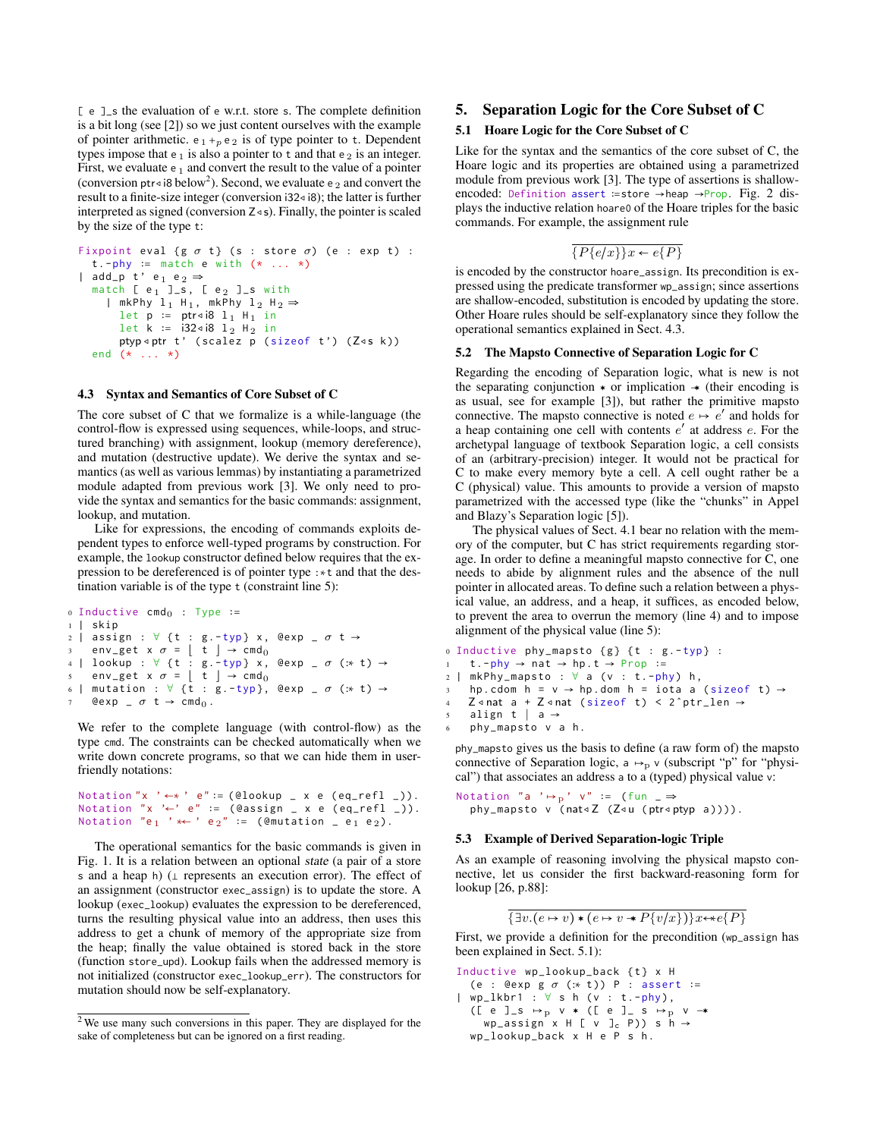[ e ]\_s the evaluation of e w.r.t. store s. The complete definition is a bit long (see [2]) so we just content ourselves with the example of pointer arithmetic.  $e_1 +_p e_2$  is of type pointer to t. Dependent types impose that  $e_1$  is also a pointer to t and that  $e_2$  is an integer. First, we evaluate  $e_1$  and convert the result to the value of a pointer (conversion ptr<i8 below<sup>2</sup>). Second, we evaluate e <sub>2</sub> and convert the result to a finite-size integer (conversion i32◃i8); the latter is further interpreted as signed (conversion  $Z \triangleleft s$ ). Finally, the pointer is scaled by the size of the type t:

```
Fixpoint eval {g \, \sigma \, t} (s : store \sigma) (e : exp t) :
   t . - phy := match e with (* ... *)| add_p t' e<sub>1</sub> e<sub>2</sub> \Rightarrowmatch [ e_1 ]_s, [ e_2 ]_s with
     | mkPhy 1_1 H<sub>1</sub>, mkPhy 1_2 H<sub>2</sub> \Rightarrowlet p := ptr∢i8 l<sub>1</sub> H<sub>1</sub> in
        let k := i32 \triangleleft i8 l<sub>2</sub> H<sub>2</sub> in
        ptyp <ptr t' (scalez p (sizeof t') (Z<s k))
  end (* ... *)
```
## 4.3 Syntax and Semantics of Core Subset of C

The core subset of C that we formalize is a while-language (the control-flow is expressed using sequences, while-loops, and structured branching) with assignment, lookup (memory dereference), and mutation (destructive update). We derive the syntax and semantics (as well as various lemmas) by instantiating a parametrized module adapted from previous work [3]. We only need to provide the syntax and semantics for the basic commands: assignment, lookup, and mutation.

Like for expressions, the encoding of commands exploits dependent types to enforce well-typed programs by construction. For example, the lookup constructor defined below requires that the expression to be dereferenced is of pointer type :∗t and that the destination variable is of the type t (constraint line 5):

```
\circ Inductive cmd<sub>0</sub> : Type :=
1 | skip
2 | assign : \forall {t : g.-typ} x, @exp _ \sigma t \rightarrow3 env_get x \sigma = \begin{bmatrix} t \end{bmatrix} \rightarrow \text{cmd}_04 | lookup : \forall {t : g. -typ} x, @exp _ \sigma (:* t) \rightarrow\sigma = \begin{bmatrix} t \end{bmatrix} \rightarrow \text{cmd}_06 | mutation : \forall {t : g.-typ}, @exp _ \sigma (:* t) \rightarrowQexp = \sigma t \rightarrow cmd_0.
```
We refer to the complete language (with control-flow) as the type cmd. The constraints can be checked automatically when we write down concrete programs, so that we can hide them in userfriendly notations:

```
Notation "x ' ←* ' e" := (@lookup _ x e (eq_refl _)).
Notation "x '←' e" := (@assign _ x e (eq_refl _)).
Notation "e<sub>1</sub> ' * ' e<sub>2</sub>" := (\epsilonmutation \epsilon e<sub>1</sub> e<sub>2</sub>).
```
The operational semantics for the basic commands is given in Fig. 1. It is a relation between an optional state (a pair of a store s and a heap h) (⊥ represents an execution error). The effect of an assignment (constructor exec\_assign) is to update the store. A lookup (exec\_lookup) evaluates the expression to be dereferenced, turns the resulting physical value into an address, then uses this address to get a chunk of memory of the appropriate size from the heap; finally the value obtained is stored back in the store (function store\_upd). Lookup fails when the addressed memory is not initialized (constructor exec\_lookup\_err). The constructors for mutation should now be self-explanatory.

# 5. Separation Logic for the Core Subset of C

#### 5.1 Hoare Logic for the Core Subset of C

Like for the syntax and the semantics of the core subset of C, the Hoare logic and its properties are obtained using a parametrized module from previous work [3]. The type of assertions is shallowencoded: Definition assert ∶=store →heap →Prop. Fig. 2 displays the inductive relation hoare0 of the Hoare triples for the basic commands. For example, the assignment rule

$$
\overline{\{P\{e/x\}\}x \leftarrow e\{P\}}
$$

is encoded by the constructor hoare\_assign. Its precondition is expressed using the predicate transformer wp\_assign; since assertions are shallow-encoded, substitution is encoded by updating the store. Other Hoare rules should be self-explanatory since they follow the operational semantics explained in Sect. 4.3.

#### 5.2 The Mapsto Connective of Separation Logic for C

Regarding the encoding of Separation logic, what is new is not the separating conjunction  $*$  or implication  $*$  (their encoding is as usual, see for example [3]), but rather the primitive mapsto connective. The mapsto connective is noted  $e \mapsto e'$  and holds for a heap containing one cell with contents  $e'$  at address  $e$ . For the archetypal language of textbook Separation logic, a cell consists of an (arbitrary-precision) integer. It would not be practical for C to make every memory byte a cell. A cell ought rather be a C (physical) value. This amounts to provide a version of mapsto parametrized with the accessed type (like the "chunks" in Appel and Blazy's Separation logic [5]).

The physical values of Sect. 4.1 bear no relation with the memory of the computer, but C has strict requirements regarding storage. In order to define a meaningful mapsto connective for C, one needs to abide by alignment rules and the absence of the null pointer in allocated areas. To define such a relation between a physical value, an address, and a heap, it suffices, as encoded below, to prevent the area to overrun the memory (line 4) and to impose alignment of the physical value (line 5):

```
0 Inductive phy_mapsto {g} {t : g -typ} :
    t - phy \rightarrow nat \rightarrow hp \tarrow Prop :=2 | mkPhy_mapsto : \forall a (v : t.-phy) h,
```

```
hp.cdom h = v \rightarrow hp.dom h = iota a (sizeof t) \rightarrow
```

```
4 Z < nat a + Z < nat (sizeof t) < 2 ^ptr_len \rightarrow
```

```
5 align t ∣ a →
```

```
phy_mapsto v a h.
```
phy\_mapsto gives us the basis to define (a raw form of) the mapsto connective of Separation logic,  $a \mapsto_p v$  (subscript "p" for "physical") that associates an address a to a (typed) physical value v:

```
Notation "a ' \mapsto<sub>p</sub>' v" := (fun _ \Rightarrowphy_mapsto v (nat∢Z (Z∢u (ptr∢ptyp a)))).
```
#### 5.3 Example of Derived Separation-logic Triple

As an example of reasoning involving the physical mapsto connective, let us consider the first backward-reasoning form for lookup [26, p.88]:

$$
\{\exists v.(e \mapsto v) * (e \mapsto v * P\{v/x\})\}x \leftrightarrow e\{P\}
$$

First, we provide a definition for the precondition (wp\_assign has been explained in Sect. 5.1):

Inductive wp\_lookup\_back { t } x H (e : @exp g  $\sigma$  (:\* t)) P : assert :=

- $|$  wp\_lkbr1 :  $\forall$  s h (v : t.-phy), ([ e ]\_s  $\mapsto$  p v \* ([ e ]\_ s  $\mapsto$  p v → wp\_assign  $x H [ v ]<sub>c</sub> P$ ) s h  $\rightarrow$ 
	- wp\_lookup\_back x H e P s h .

<sup>2</sup> We use many such conversions in this paper. They are displayed for the sake of completeness but can be ignored on a first reading.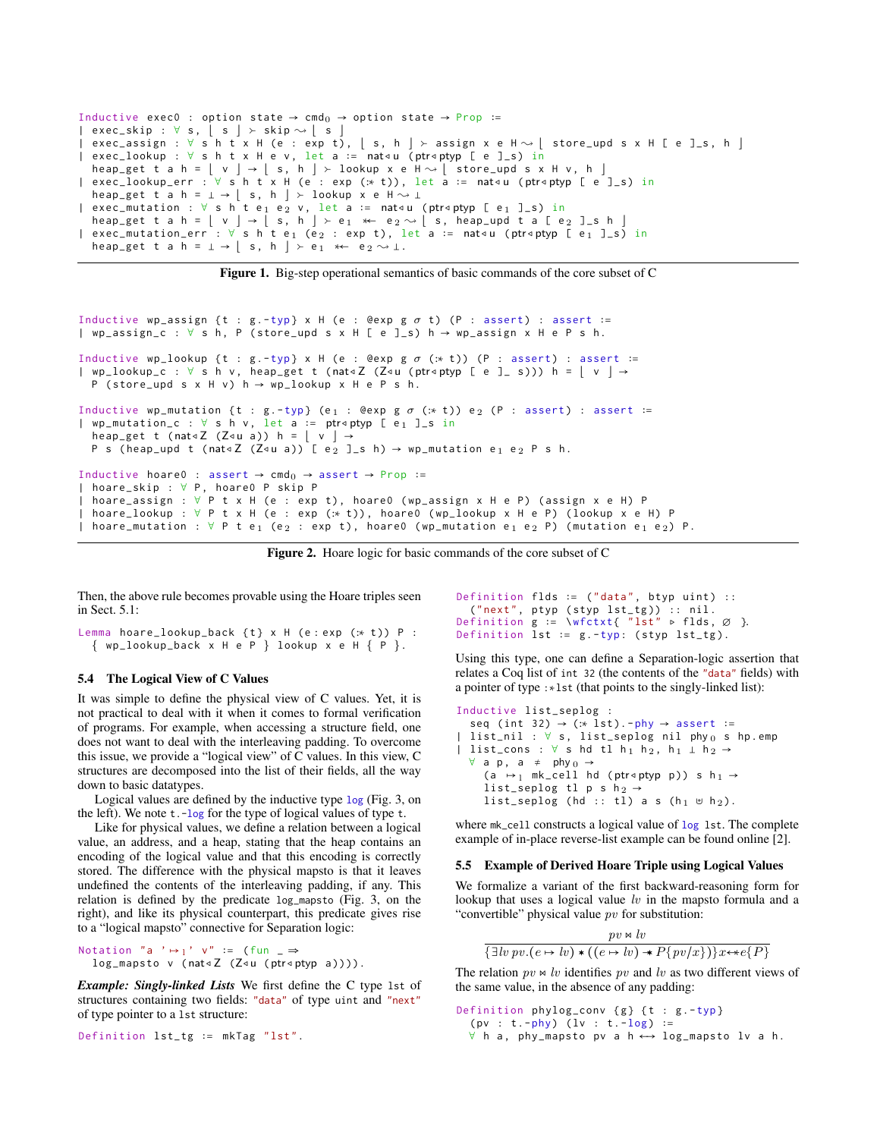```
Inductive exec0 : option state \rightarrow cmd<sub>0</sub> \rightarrow option state \rightarrow Prop :=
| exec_skip : \forall s, | s | > skip \sim | s |exc_{\alpha} assign : \forall s h t x H (e : exp t), \lfloor s, h \rfloor \succ assign x e H \rightsquigarrow \lfloor store_upd s x H \lfloor e \rceil \lfloor s, h \rfloor| exec_lookup : ∀ s h t x H e v , let a ∶= nat◃u (ptr◃ptyp [ e ] _s ) in
    heap_get t a h = \left[ \begin{array}{c} v \end{array} \right] \rightarrow \left[ \begin{array}{c} s, h \end{array} \right] > lookup x e H \sim \left[ \begin{array}{c} store \_upd \ s \times H \ v, h \end{array} \right]| exec_lookup_err : ∀ s h t x H ( e : exp (:∗ t )) , let a ∶= nat◃u (ptr◃ptyp [ e ] _s ) in
    heap_get t a h = \perp → \lfloor s, h \rfloor > lookup x e H \rightsquigarrow \perp| exec_mutation : ∀ s h t e<sub>1</sub> e<sub>2</sub> v, let a := nat⊲u (ptr⊲ptyp [ e<sub>1</sub> ]_s) in
heap_get t a h = \lfloor v \rfloor \rightarrow \lfloor s, h \rfloor \succ e_1 \prec e_2 \sim \lfloor s, \text{ heap\_upd} \text{ t a } \lfloor e_2 \rfloor \text{ s h } \rfloor<br>| exec_mutation_err : \forall s \text{ h } t \text{ e}_1 \text{ (e}_2 : \text{exp } t), \text{ let a := } \text{nat} \triangleleft u \text{ (ptr} \triangleleft p \text{ (p} \text{t}) = \text{len } t \text{ s h } \bot \text{ s h } \bot \text{ s h } \bot \text{ s h } \bot \text{ s h hheap_get t a h = \perp \rightarrow | s, h | \rightarrow e<sub>1</sub> * e<sub>2</sub> \rightarrow 1.
```
Figure 1. Big-step operational semantics of basic commands of the core subset of C

```
Inductive wp_assign {t : g . - typ} x H (e : @exp g \sigma t) (P : assert) : assert :=
| wp_assign_c : ∀ s h , P ( store_upd s x H [ e ] _s ) h → wp_assign x H e P s h .
Inductive wp_lookup {t : g . - typ} x H (e : @exp g \sigma (:* t)) (P : assert) : assert :=
| wp_lookup_c : ∀ s h v , heap_get t (nat◃Z (Z◃u (ptr◃ptyp [ e ] _ s ))) h = ⌊ v ⌋ →
  P (store_upd s x H v) h \rightarrow wp\_lookup x H e P s h.
Inductive wp_mutation {t : g . -typ} (e<sub>1</sub> : @exp g \sigma (:* t)) e<sub>2</sub> (P : assert) : assert :=
| wp_mutation_c : ∀ s h v , let a ∶= ptr◃ptyp [ e 1 ] _s in
  heap_get t (nat<2 (Z<u a)) h = |v| \rightarrowP s (heap_upd t (nat<Z (Z<u a)) [ e<sub>2</sub> ]_s h) \rightarrow wp_mutation e<sub>1</sub> e<sub>2</sub> P s h.
Inductive hoare0 : assert \rightarrow cmd<sub>0</sub> \rightarrow assert \rightarrow Prop :=
| hoare_skip : ∀ P , hoare0 P skip P
| hoare_assign : ∀ P t x H (e : exp t), hoare0 (wp_assign x H e P) (assign x e H) P
| hoare_lookup : ∀ P t x H (e : exp (:* t)), hoare0 (wp_lookup x H e P) (lookup x e H) P
| hoare_mutation : ∀ P t e<sub>1</sub> (e<sub>2</sub> : exp t), hoare0 (wp_mutation e<sub>1</sub> e<sub>2</sub> P) (mutation e<sub>1</sub> e<sub>2</sub>) P.
```
Figure 2. Hoare logic for basic commands of the core subset of C

Then, the above rule becomes provable using the Hoare triples seen in Sect. 5.1:

```
Lemma hoare_lookup_back {t} x H (e:exp (:* t)) P :
  \{ wp\_lookup\_back \times H e P \} lookup x e H \{ P \}.
```
# 5.4 The Logical View of C Values

It was simple to define the physical view of C values. Yet, it is not practical to deal with it when it comes to formal verification of programs. For example, when accessing a structure field, one does not want to deal with the interleaving padding. To overcome this issue, we provide a "logical view" of C values. In this view, C structures are decomposed into the list of their fields, all the way down to basic datatypes.

Logical values are defined by the inductive type log (Fig. 3, on the left). We note t.-log for the type of logical values of type t.

Like for physical values, we define a relation between a logical value, an address, and a heap, stating that the heap contains an encoding of the logical value and that this encoding is correctly stored. The difference with the physical mapsto is that it leaves undefined the contents of the interleaving padding, if any. This relation is defined by the predicate log\_mapsto (Fig. 3, on the right), and like its physical counterpart, this predicate gives rise to a "logical mapsto" connective for Separation logic:

```
Notation "a ' \mapsto_1' v" := (fun _ \Rightarrowlog_mapsto v (nat∢Z (Z∢u (ptr∢ptyp a)))).
```
*Example: Singly-linked Lists* We first define the C type lst of structures containing two fields: "data" of type uint and "next" of type pointer to a lst structure:

```
Definition lst_tg ∶= mkTag "lst".
```

```
Definition flds := ("data", btyp uint) ::
  (" next ", ptyp ( styp lst_tg )) :: nil .
Definition g := \wedge \text{ctxt} \{ "lst" ⊳ flds, \varnothing }.
Definition lst := g.-typ: (styp lst_tg).
```
Using this type, one can define a Separation-logic assertion that relates a Coq list of int 32 (the contents of the "data" fields) with a pointer of type :∗lst (that points to the singly-linked list):

```
Inductive list_seplog :
  seq (int 32) \rightarrow (:* lst). -phy \rightarrow assert :=
  list\_nil : \forall s, list\_seplog nil phy o s hp.emp
| list_cons : \forall s hd tl h<sub>1</sub> h<sub>2</sub>, h<sub>1</sub> \bot h<sub>2</sub> →
   \forall a p, a \neq phy _0 \rightarrow(a \mapsto<sub>l</sub> mk_cell hd (ptr<ptyp p)) s h<sub>1</sub> \rightarrowlist_seplog tl p s h_2.
      list_seplog (hd :: tl) a s (h<sub>1</sub> ⊎ h<sub>2</sub>).
```
where mk\_cell constructs a logical value of log lst. The complete example of in-place reverse-list example can be found online [2].

#### 5.5 Example of Derived Hoare Triple using Logical Values

We formalize a variant of the first backward-reasoning form for lookup that uses a logical value  $lv$  in the mapsto formula and a "convertible" physical value  $pv$  for substitution:

$$
\frac{pv \bowtie lv}{\{\exists lw\,pv.(e \mapsto lv)*(e \mapsto bv) * P\{pv/x\})\}x \leftrightarrow e\{P\}}
$$

The relation  $pv \Join iv$  identifies  $pv$  and lv as two different views of the same value, in the absence of any padding:

Definition phylog\_conv {g} {t : g.-typ}  $(pv : t.-phy)$   $(lv : t.-log) :=$  $∀$  h a, phy\_mapsto pv a h  $\leftrightarrow$  log\_mapsto lv a h.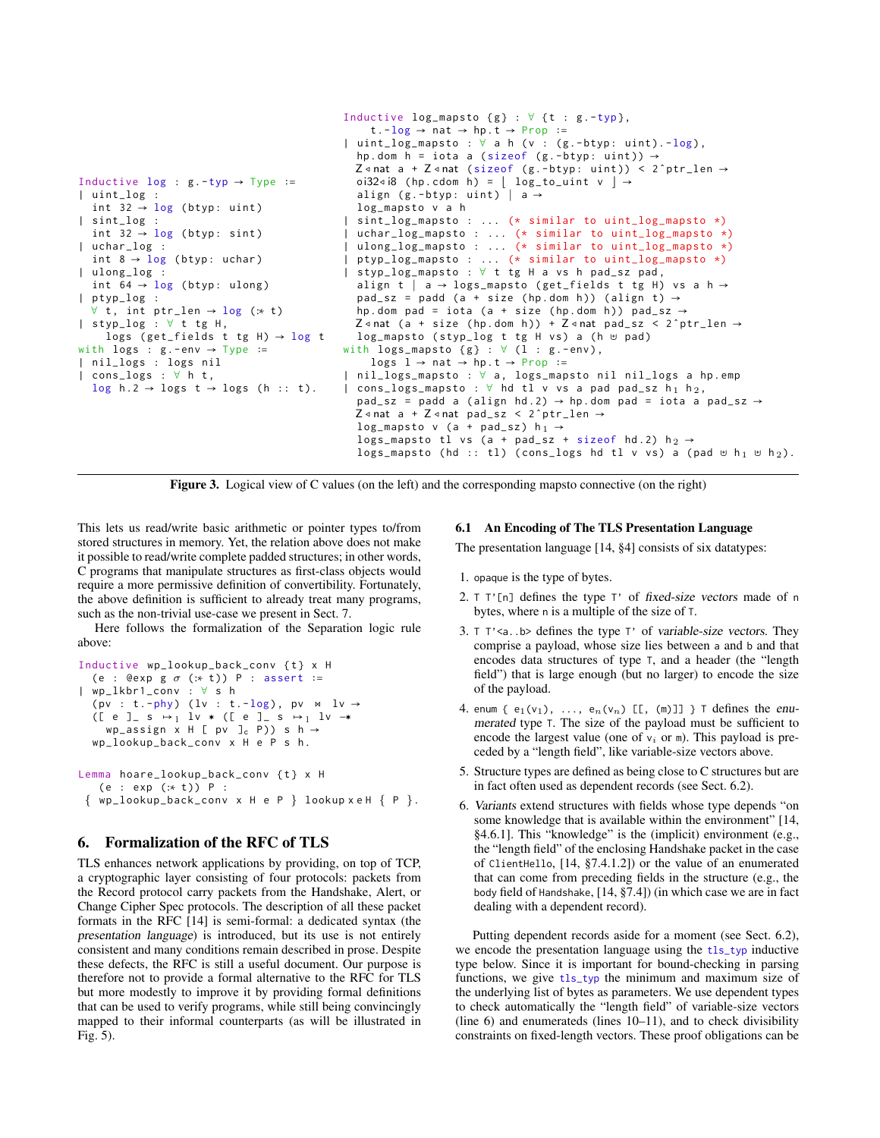```
Inductive log : g - typ \rightarrow Type : =| uint_log :
  int 32 \rightarrow \log (btyp: uint)
| sint_log :
  int 32 \rightarrow \log (btyp: sint)
| uchar_log :
  int 8 \rightarrow \log (btyp: uchar)
| ulong_log :
  int 64 \rightarrow \log (btyp: ulong)
  | ptyp_log :
  ∀ t, int ptr_len \rightarrow log (:* t)
| styp_log : ∀ t tg H ,
     logs (get_fields t tg H) \rightarrow log t
with logs : g. - env \rightarrow Type :=
| nil_logs : logs nil
| cons_logs : ∀ h t ,
  log h .2 \rightarrow logs t \rightarrow logs (h :: t).
                                                   Inductive log_mapsto {g} : \forall {t : g. -typ},
                                                        t - log \rightarrow nat \rightarrow hp \cdot t \rightarrow Prop :=| uint_log_mapsto : ∀ a h ( v : ( g . - btyp : uint ). - log ) ,
                                                     hp.dom h = iota a (sizeof (g.-btyp: uint)) \rightarrowZ \triangleleft nat a + Z \triangleleft nat (sizeof (g.-btyp: uint)) < 2^ptr_len \rightarrowoi32⊲i8 (hp.cdom h) = \vert log_to_uint v \vert \rightarrowalign (g.-btyp: uint) | a \rightarrowlog_mapsto v a h
                                                   | sint_log_mapsto : ... (* similar to uint_log_mapsto *)
                                                     | uchar_log_mapsto : ... (* similar to uint_log_mapsto *)
                                                     ulong_log_mapsto : ... (* similar to uint_log_mapsto *)
                                                   | ptyp_log_mapsto : ... (* similar to uint_log_mapsto *)
                                                    | styp_log_mapsto : ∀ t tg H a vs h pad_sz pad ,
                                                     align t | a → logs_mapsto (get_fields t tg H) vs a h →
                                                     pad_sz = padd (a + size (hp.dom h)) (align t) \rightarrowhp.dom pad = iota (a + size (hp.dom h)) pad_sz \rightarrowZ \triangleleft nat (a + size (hp.dom h)) + Z \triangleleftnat pad_sz < 2 \triangleleft ptr_len \rightarrowlog_mapsto (styp_log t tg H vs) a (h ⊎ pad)
                                                   with logs_mapsto {g} : \forall (1 : g.-env),
                                                        logs l \rightarrow nat \rightarrow hp.t \rightarrow Prop :=nil_logs_mapsto : ∀ a, logs_mapsto nil nil_logs a hp.emp
                                                   | cons_logs_mapsto : \forall hd tl v vs a pad pad_sz h<sub>1</sub> h<sub>2</sub>,
                                                     pad_sz = padd a (align hd.2) \rightarrow hp.dom pad = iota a pad_sz \rightarrowZ \triangleleft nat a + Z \triangleleft nat pad_sz < 2<sup>o</sup>ptr_len \rightarrowlog_mapsto v (a + pad_sz) h_1 \rightarrowlogs_mapsto tl vs (a + pad_sz + sizeof hd.2) h_2 \rightarrowlogs_mapsto (hd :: tl) ( cons_logs hd tl v vs) a (pad ⊎ h<sub>1</sub> ⊎ h<sub>2</sub>).
```


This lets us read/write basic arithmetic or pointer types to/from stored structures in memory. Yet, the relation above does not make it possible to read/write complete padded structures; in other words, C programs that manipulate structures as first-class objects would require a more permissive definition of convertibility. Fortunately, the above definition is sufficient to already treat many programs, such as the non-trivial use-case we present in Sect. 7.

Here follows the formalization of the Separation logic rule above:

```
Inductive wp_lookup_back_conv { t } x H
  (e : @exp g \sigma (:* t)) P : assert :=
| wp_lkbr1_conv : ∀ s h
  (pv : t.-phy) (lv : t.-log), pv \Joinlv \rightarrow([ e ] s \mapsto_1 1v * ([ e ] s \mapsto_1 1v \rightarrowwp_assign x H [ pv ]<sub>c</sub> P)) s h \rightarrowwp_lookup_back_conv x H e P s h .
Lemma hoare_lookup_back_conv {t} x H
   (e : exp (:* t)) P :
 \{ wp\_lookup\_back\_conv \times H e P \} lookup x e H \{ P \}.
```
# 6. Formalization of the RFC of TLS

TLS enhances network applications by providing, on top of TCP, a cryptographic layer consisting of four protocols: packets from the Record protocol carry packets from the Handshake, Alert, or Change Cipher Spec protocols. The description of all these packet formats in the RFC [14] is semi-formal: a dedicated syntax (the presentation language) is introduced, but its use is not entirely consistent and many conditions remain described in prose. Despite these defects, the RFC is still a useful document. Our purpose is therefore not to provide a formal alternative to the RFC for TLS but more modestly to improve it by providing formal definitions that can be used to verify programs, while still being convincingly mapped to their informal counterparts (as will be illustrated in Fig. 5).

# 6.1 An Encoding of The TLS Presentation Language

The presentation language [14, §4] consists of six datatypes:

- 1. opaque is the type of bytes.
- 2. T T'[n] defines the type T' of fixed-size vectors made of n bytes, where n is a multiple of the size of T.
- 3. T T'<a..b> defines the type T' of variable-size vectors. They comprise a payload, whose size lies between a and b and that encodes data structures of type T, and a header (the "length field") that is large enough (but no larger) to encode the size of the payload.
- 4. enum {  $e_1(v_1)$ , ...,  $e_n(v_n)$  [[, (m)]] } T defines the enumerated type T. The size of the payload must be sufficient to encode the largest value (one of  $v_i$  or m). This payload is preceded by a "length field", like variable-size vectors above.
- 5. Structure types are defined as being close to C structures but are in fact often used as dependent records (see Sect. 6.2).
- 6. Variants extend structures with fields whose type depends "on some knowledge that is available within the environment" [14, §4.6.1]. This "knowledge" is the (implicit) environment (e.g., the "length field" of the enclosing Handshake packet in the case of ClientHello, [14, §7.4.1.2]) or the value of an enumerated that can come from preceding fields in the structure (e.g., the body field of Handshake, [14, §7.4]) (in which case we are in fact dealing with a dependent record).

Putting dependent records aside for a moment (see Sect. 6.2), we encode the presentation language using the tls\_typ inductive type below. Since it is important for bound-checking in parsing functions, we give tls\_typ the minimum and maximum size of the underlying list of bytes as parameters. We use dependent types to check automatically the "length field" of variable-size vectors (line 6) and enumerateds (lines 10–11), and to check divisibility constraints on fixed-length vectors. These proof obligations can be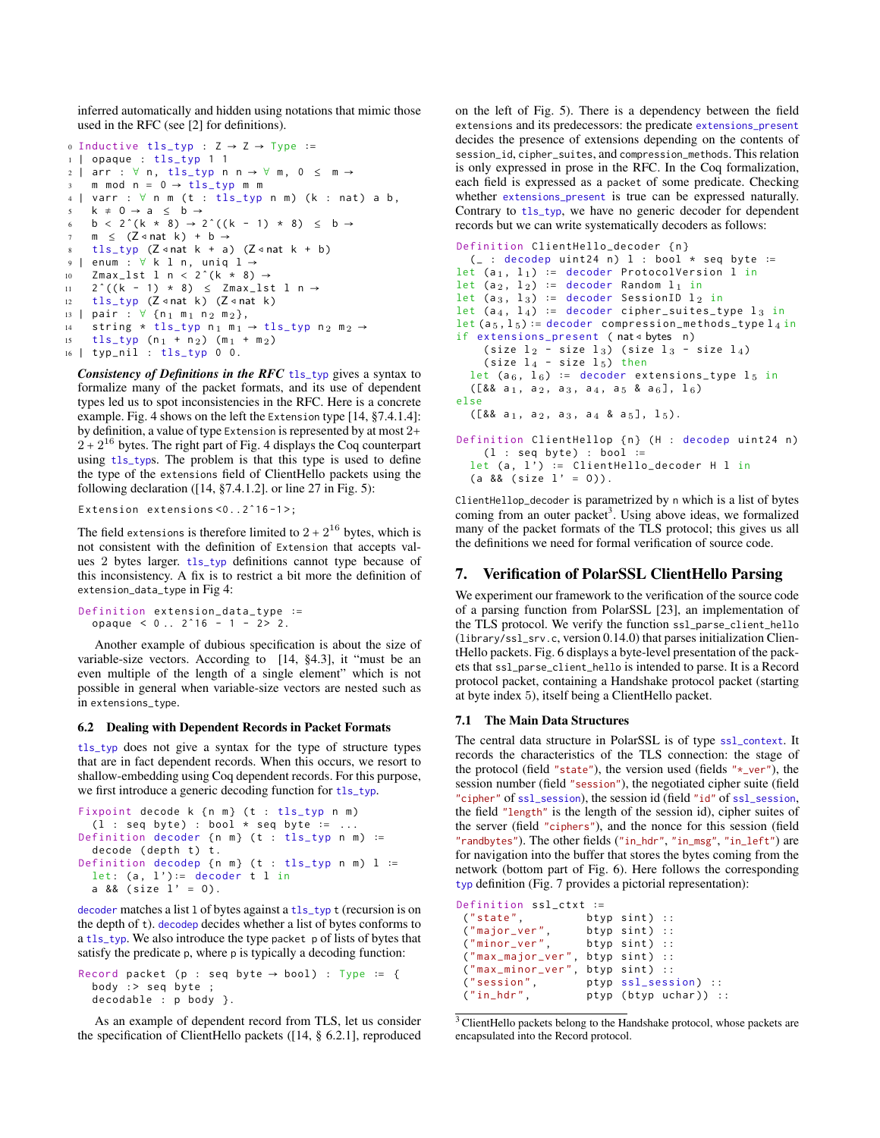inferred automatically and hidden using notations that mimic those used in the RFC (see [2] for definitions).

```
o Inductive tls_typ : Z \rightarrow Z \rightarrow Type :=
1 | opaque : tls_typ 1 1
2 | arr : \forall n, tls_typ n n \rightarrow \forall m, 0 \leq m \rightarrowm mod n = 0 \rightarrow tls_{\perp}typ m m
4 | varr : \forall n m (t : tls_typ n m) (k : nat) a b,
5 k \neq 0 \rightarrow a \leq b \rightarrow6 b < 2^{(k * 8)} \rightarrow 2^{(k - 1) * 8} \le b \rightarrow7 \text{ m } \leq (Z \triangleleft \text{nat } k) + b \rightarrow8 tls_typ (Z \triangleleft nat k + a) (Z \triangleleft nat k + b)9 | enum : ∀ k l n , uniq l →
10 Zmax_lst l n < 2^+(k * 8) \rightarrow11 2<sup>\hat{ } ((k - 1) \times 8) \leq Zmax_1st 1 n →</sup>
12 tls_typ (Z \triangleleftnat k) (Z \triangleleftnat k)
13 | pair : ∀ {n 1 m 1 n 2 m 2},
14 string * tls_typ n<sub>1</sub> m<sub>1</sub> \rightarrow tls_typ n<sub>2</sub> m<sub>2</sub> \rightarrow15 tls_typ (n_1 + n_2) (m_1 + m_2)16 | typ_nil : tls_typ 0 0.
```
*Consistency of Definitions in the RFC* tls\_typ gives a syntax to formalize many of the packet formats, and its use of dependent types led us to spot inconsistencies in the RFC. Here is a concrete example. Fig. 4 shows on the left the Extension type [14, §7.4.1.4]: by definition, a value of type Extension is represented by at most 2+  $2 + 2^{16}$  bytes. The right part of Fig. 4 displays the Coq counterpart using tls\_typs. The problem is that this type is used to define the type of the extensions field of ClientHello packets using the following declaration ( $[14, §7.4.1.2]$ . or line 27 in Fig. 5):

Extension extensions <0..2^16-1>;

The field extensions is therefore limited to  $2 + 2^{16}$  bytes, which is not consistent with the definition of Extension that accepts values 2 bytes larger. tls\_typ definitions cannot type because of this inconsistency. A fix is to restrict a bit more the definition of extension\_data\_type in Fig 4:

Definition extension\_data\_type ∶= opaque <  $0 \ldots 2^16 - 1 - 2 > 2$ .

Another example of dubious specification is about the size of variable-size vectors. According to [14, §4.3], it "must be an even multiple of the length of a single element" which is not possible in general when variable-size vectors are nested such as in extensions\_type.

#### 6.2 Dealing with Dependent Records in Packet Formats

tls\_typ does not give a syntax for the type of structure types that are in fact dependent records. When this occurs, we resort to shallow-embedding using Coq dependent records. For this purpose, we first introduce a generic decoding function for tls\_typ.

```
Fixpoint decode k {n m} (t : tls_typ n m)
 (1 : seq byte) : bool * seq byte := ...
Definition decoder {n m} (t : tls_typ n m) :=
 decode (depth t) t.
Definition decodep {n = (t : tls_typ n =) l :=
 let: (a, 1') := decoder t l in
 a &8 (size 1' = 0).
```
decoder matches a list l of bytes against a tls\_typ t (recursion is on the depth of t). decodep decides whether a list of bytes conforms to a tls\_typ. We also introduce the type packet p of lists of bytes that satisfy the predicate p, where p is typically a decoding function:

```
Record packet (p : seq byte \rightarrow bool) : Type := {
  body :> seq byte ;
  decodable : p body }.
```
As an example of dependent record from TLS, let us consider the specification of ClientHello packets ([14, § 6.2.1], reproduced on the left of Fig. 5). There is a dependency between the field extensions and its predecessors: the predicate extensions\_present decides the presence of extensions depending on the contents of session\_id, cipher\_suites, and compression\_methods. This relation is only expressed in prose in the RFC. In the Coq formalization, each field is expressed as a packet of some predicate. Checking whether extensions\_present is true can be expressed naturally. Contrary to tls\_typ, we have no generic decoder for dependent records but we can write systematically decoders as follows:

```
Definition ClientHello_decoder { n }
  ( _ : decodep uint24 n ) l : bool * seq byte ∶=
let (a_1, 1_1) := decoder ProtocolVersion 1 in
let (a_2, 1_2) := decoder Random l_1 in
let (a<sub>3</sub>, l_3) := decoder SessionID l_2 in
let (a_4, 1_4) := decoder cipher_suites_type l_3 in
let (a_5, 1_5) := decoder compression_methods_type l_4 in
if extensions_present (nat < bytes n)
     (size l_2 - size l_3) (size l_3 - size l_4)
     (size l_4 - size l_5) then
  let (a<sub>6</sub>, 1_6) := decoder extensions_type 1_5 in
  ([&amp; a<sub>1</sub>, a<sub>2</sub>, a<sub>3</sub>, a<sub>4</sub>, a<sub>5</sub> &amp; a<sub>6</sub>], 1<sub>6</sub>)else
  ([88 a<sub>1</sub>, a<sub>2</sub>, a<sub>3</sub>, a<sub>4</sub> 8 a<sub>5</sub>], 1<sub>5</sub>).Definition ClientHellop {n} (H : decodep uint24 n)
    (1 : seq byte) : bool :=let (a, 1') := ClientHello\_decoder H 1 in(a 88 (size 1' = 0)).
```
ClientHellop\_decoder is parametrized by n which is a list of bytes coming from an outer packet<sup>3</sup>. Using above ideas, we formalized many of the packet formats of the TLS protocol; this gives us all the definitions we need for formal verification of source code.

## 7. Verification of PolarSSL ClientHello Parsing

We experiment our framework to the verification of the source code of a parsing function from PolarSSL [23], an implementation of the TLS protocol. We verify the function ssl\_parse\_client\_hello (library/ssl\_srv.c, version 0.14.0) that parses initialization ClientHello packets. Fig. 6 displays a byte-level presentation of the packets that ssl\_parse\_client\_hello is intended to parse. It is a Record protocol packet, containing a Handshake protocol packet (starting at byte index 5), itself being a ClientHello packet.

#### 7.1 The Main Data Structures

The central data structure in PolarSSL is of type ssl\_context. It records the characteristics of the TLS connection: the stage of the protocol (field "state"), the version used (fields " $\star$ \_ver"), the session number (field "session"), the negotiated cipher suite (field "cipher" of ssl\_session), the session id (field "id" of ssl\_session, the field "length" is the length of the session id), cipher suites of the server (field "ciphers"), and the nonce for this session (field "randbytes"). The other fields ("in\_hdr", "in\_msg", "in\_left") are for navigation into the buffer that stores the bytes coming from the network (bottom part of Fig. 6). Here follows the corresponding typ definition (Fig. 7 provides a pictorial representation):

```
Definition ssl_ctxt ∶=
 ("state", btyp sint) ::<br>("major_ver", btyp sint) ::
 ("major_ver", btyp sint) ::<br>("minor_ver", btyp sint) ::
                      btyp sint) ::
 ("max_major_ver", btyp sint) ::
 ("max_minor_ver", btyp sint) ::
 ("session", ptyp ssl_session) ::
 ("in_hdr", ptyp (btyp uchar)) ::
```
<sup>3</sup> ClientHello packets belong to the Handshake protocol, whose packets are encapsulated into the Record protocol.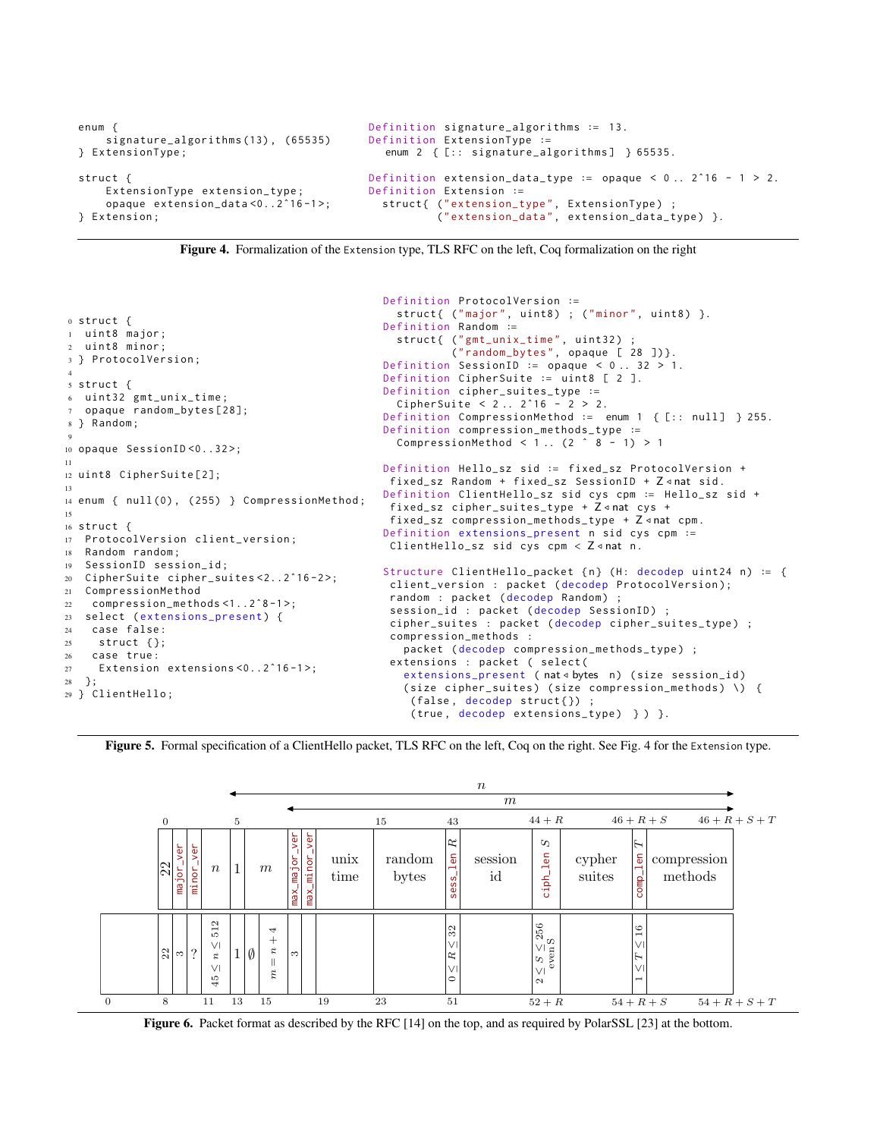```
enum {
    signature_algorithms (13) , (65535)
} ExtensionType ;
struct {
    ExtensionType extension_type ;
    opaque extension_data <0..2ˆ16 -1 >;
} Extension ;
                                            Definition signature_algorithms ∶= 13.
                                            Definition ExtensionType ∶=
                                               enum 2 { [:: signature_algorithms] } 65535.
                                            Definition extension_data_type := opaque < 0.2 . 2^16 - 1 > 2.
                                            Definition Extension ∶=
                                               struct{ ("extension_type", ExtensionType) ;
                                                       (" extension_data ", extension_data_type ) }.
```


<sup>0</sup> struct { <sup>1</sup> uint8 major ; uint8 minor; <sup>3</sup> } ProtocolVersion ; 4 <sup>5</sup> struct { <sup>6</sup> uint32 gmt\_unix\_time ; opaque random\_bytes [28]; <sup>8</sup> } Random ; 9 <sup>10</sup> opaque SessionID <0..32 >; 11 <sup>12</sup> uint8 CipherSuite [2]; 13 14 enum { null (0), (255) } CompressionMethod; 15 <sup>16</sup> struct { <sup>17</sup> ProtocolVersion client\_version ; <sup>18</sup> Random random ; <sup>19</sup> SessionID session\_id ; <sup>20</sup> CipherSuite cipher\_suites <2..2ˆ16 -2 >; <sup>21</sup> CompressionMethod <sup>22</sup> compression\_methods <1..2ˆ8 -1 >; 23 select (extensions\_present) { <sup>24</sup> case false : <sup>25</sup> struct {}; <sup>26</sup> case true : <sup>27</sup> Extension extensions <0..2ˆ16 -1 >; <sup>28</sup> }; <sup>29</sup> } ClientHello ; Definition ProtocolVersion ∶= struct{ ("major", uint8) ; ("minor", uint8) }. Definition Random ∶= struct{ ("gmt\_unix\_time", uint32) ; (" random\_bytes ", opaque [ 28 ])}. Definition SessionID ∶= opaque < 0 .. 32 > 1. Definition CipherSuite ∶= uint8 [ 2 ]. Definition cipher\_suites\_type ∶= CipherSuite < 2 .. 2ˆ16 - 2 > 2. Definition CompressionMethod ∶= enum 1 { [:: null ] } 255. Definition compression\_methods\_type ∶= CompressionMethod  $< 1$ .. (2  $\hat{ }$  8 - 1) > 1 Definition Hello\_sz sid ∶= fixed\_sz ProtocolVersion + fixed\_sz Random + fixed\_sz SessionID + Z <nat sid. Definition ClientHello\_sz sid cys cpm ∶= Hello\_sz sid + fixed\_sz cipher\_suites\_type + Z <nat cys + fixed\_sz compression\_methods\_type +  $Z \triangleleft nat$  cpm. Definition extensions\_present n sid cys cpm ∶= ClientHello\_sz sid cys cpm  $\langle$  Z  $\triangleleft$  nat n. Structure ClientHello\_packet {n} (H: decodep uint24 n) := { client\_version : packet ( decodep ProtocolVersion ); random : packet (decodep Random) session\_id : packet ( decodep SessionID ) ; cipher\_suites : packet ( decodep cipher\_suites\_type ) ; compression\_methods : packet ( decodep compression\_methods\_type ) ; extensions : packet ( select ( extensions\_present ( nat < bytes n) (size session\_id) (size cipher\_suites) (size compression\_methods) \) { (false, decodep struct{}) ; (true, decodep extensions\_type) } ) }.

Figure 5. Formal specification of a ClientHello packet, TLS RFC on the left, Coq on the right. See Fig. 4 for the Extension type.



Figure 6. Packet format as described by the RFC [14] on the top, and as required by PolarSSL [23] at the bottom.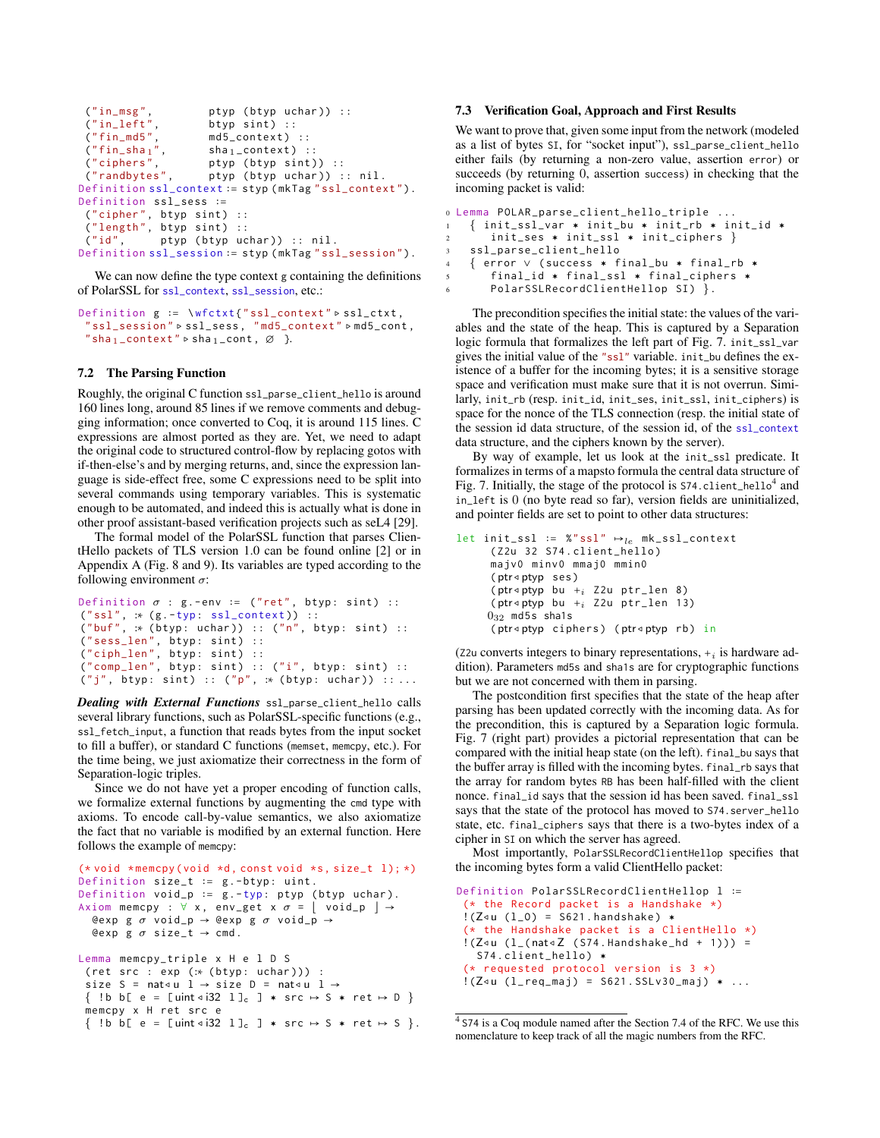```
("in_msg", ptyp (btyp uchar)) ::<br>("in_leff", btyp sint) ::
 (" in_left", btyp sint) ::<br>(" fin_md5", md5_context)
 ("fin_m d5", \n  m d5_countext) ::<br>
("fin_s h a_1", \n  sh a_1_countext) ::("fin\_sha_1", sha_1_context) ::<br>("ciphers", ptyp (btyp sint)
 ("ciphers", ptyp (btyp sint)) ::<br>("randbytes", ptyp (btyp uchar)) :
                          ptyp (btyp uchar ) :: nil.
Definition ssl_context ∶= styp ( mkTag " ssl_context ").
Definition ssl_sess ∶=
 ("cipher", btyp sint) ::
 ("length", btyp sint) ::
 ("id", ptyp (btyp uchar)) :: nil.
Definition ssl_session ∶= styp ( mkTag " ssl_session ").
```
We can now define the type context g containing the definitions of PolarSSL for ssl\_context, ssl\_session, etc.:

```
Definition g := \wfctxt{"ssl_context" ⊳ssl_ctxt,
 " ssl_session " ▹ ssl_sess , " md5_context " ▹ md5_cont ,
 "sha 1 _context" \triangleright sha 1 _cont, \varnothing }.
```
#### 7.2 The Parsing Function

Roughly, the original C function ssl\_parse\_client\_hello is around 160 lines long, around 85 lines if we remove comments and debugging information; once converted to Coq, it is around 115 lines. C expressions are almost ported as they are. Yet, we need to adapt the original code to structured control-flow by replacing gotos with if-then-else's and by merging returns, and, since the expression language is side-effect free, some C expressions need to be split into several commands using temporary variables. This is systematic enough to be automated, and indeed this is actually what is done in other proof assistant-based verification projects such as seL4 [29].

The formal model of the PolarSSL function that parses ClientHello packets of TLS version 1.0 can be found online [2] or in Appendix A (Fig. 8 and 9). Its variables are typed according to the following environment  $\sigma$ :

```
Definition \sigma : g .-env := ("ret", btyp: sint) ::
("ssl", :: (g.-typ:ssl\_context)) ::(" buf", :∗ ( btyp : uchar )) :: ("n", btyp : sint ) ::
("sess\_len", btyp: sint) ::("ciph_len", btyp: sint) ::
("comp\_len", btyp: sint) :: ("i", btyp: sint) ::("j", btyp: sint) :: ("p", :: (btyp: uchar)) :: ...
```
*Dealing with External Functions* ssl\_parse\_client\_hello calls several library functions, such as PolarSSL-specific functions (e.g., ssl\_fetch\_input, a function that reads bytes from the input socket to fill a buffer), or standard C functions (memset, memcpy, etc.). For the time being, we just axiomatize their correctness in the form of Separation-logic triples.

Since we do not have yet a proper encoding of function calls, we formalize external functions by augmenting the cmd type with axioms. To encode call-by-value semantics, we also axiomatize the fact that no variable is modified by an external function. Here follows the example of memcpy:

```
(* void * memcpy ( void *d, const void *s, size_t l); *)
Definition size_t := g.-btyp: uint.
Definition void_p := g.-typ: ptyp (btyp uchar).
Axiom memcpy : \forall x, env_get x \sigma = \vert void_p \vert \rightarrow@exp g σ void_p → @exp g σ void_p →
   Qexp g \sigma size_t \rightarrow cmd.
Lemma memcpy_triple x H e l D S
 (ret src : exp (: * (btyp: uchar))):
 size S = nat<u l \rightarrow size D = nat<u l \rightarrow\{ \text{ !b } b \in e = [ \text{uint } \triangleleft 32 \text{ } 1 \}_c \} \times \text{src} \mapsto S \times \text{ret } \mapsto D \}memcpy x H ret src e
 \{ \text{ !b } b \in e = \text{ [uint } \triangleleft i32 \text{ } 1 \text{]}_c \text{ } \} \times \text{src } \mapsto S \times \text{ ret } \mapsto S \}.
```
## 7.3 Verification Goal, Approach and First Results

We want to prove that, given some input from the network (modeled as a list of bytes SI, for "socket input"), ssl\_parse\_client\_hello either fails (by returning a non-zero value, assertion error) or succeeds (by returning 0, assertion success) in checking that the incoming packet is valid:

```
0 Lemma POLAR_parse_client_hello_triple ...
1 \quad \{\text{init\_ssl\_var } * \text{ init\_bu } * \text{ init\_rb } * \text{ init\_id } * \}2 init_ses * init_ssl * init_ciphers }
3 ssl_parse_client_hello
4 { error ∨ ( success › final_bu › final_rb ›
5 final_id * final_ssl * final_ciphers *
6 PolarSSLRecordClientHellop SI ) }.
```
The precondition specifies the initial state: the values of the variables and the state of the heap. This is captured by a Separation logic formula that formalizes the left part of Fig. 7. init\_ssl\_var gives the initial value of the "ssl" variable. init\_bu defines the existence of a buffer for the incoming bytes; it is a sensitive storage space and verification must make sure that it is not overrun. Similarly, init\_rb (resp. init\_id, init\_ses, init\_ssl, init\_ciphers) is space for the nonce of the TLS connection (resp. the initial state of the session id data structure, of the session id, of the ssl\_context data structure, and the ciphers known by the server).

By way of example, let us look at the init\_ssl predicate. It formalizes in terms of a mapsto formula the central data structure of Fig. 7. Initially, the stage of the protocol is S74.client\_hello<sup>4</sup> and in\_left is 0 (no byte read so far), version fields are uninitialized, and pointer fields are set to point to other data structures:

```
let init_ssl := %"ssl" \mapsto_{le} mk_ssl_context
      ( Z2u 32 S74 . client_hello )
      majv0 minv0 mmaj0 mmin0
      (ptr◃ptyp ses )
      (ptr<ptyp bu +<sub>i</sub> Z2u ptr_len 8)
      (ptr\triangleleftptyp bu +<sub>i</sub> Z2u ptr_len 13)
     0_{32} md5s sha1s
      (ptr◃ptyp ciphers ) (ptr◃ptyp rb ) in
```
(z2u converts integers to binary representations,  $+_i$  is hardware addition). Parameters md5s and sha1s are for cryptographic functions but we are not concerned with them in parsing.

The postcondition first specifies that the state of the heap after parsing has been updated correctly with the incoming data. As for the precondition, this is captured by a Separation logic formula. Fig. 7 (right part) provides a pictorial representation that can be compared with the initial heap state (on the left). final\_bu says that the buffer array is filled with the incoming bytes. final\_rb says that the array for random bytes RB has been half-filled with the client nonce. final\_id says that the session id has been saved. final\_ssl says that the state of the protocol has moved to S74.server\_hello state, etc. final\_ciphers says that there is a two-bytes index of a cipher in SI on which the server has agreed.

Most importantly, PolarSSLRecordClientHellop specifies that the incoming bytes form a valid ClientHello packet:

```
Definition PolarSSLRecordClientHellop l ∶=
 (* the Record packet is a Handshake *)!(Z<sub>4</sub>u (l_0) = S621.handshake)(* the Handshake packet is a ClientHello *)
 !(Z \triangleleft u (l_{-}(\text{nat} \triangleleft Z (S74.\text{Handshake}_{-}hd + 1))) =S74.client_hello) *
 (* requested protocol version is 3 *)
 !(Z<sub>4u</sub> (l_req_maj) = S621.SSLv30_maj) * ...
```
<sup>4</sup> S74 is a Coq module named after the Section 7.4 of the RFC. We use this nomenclature to keep track of all the magic numbers from the RFC.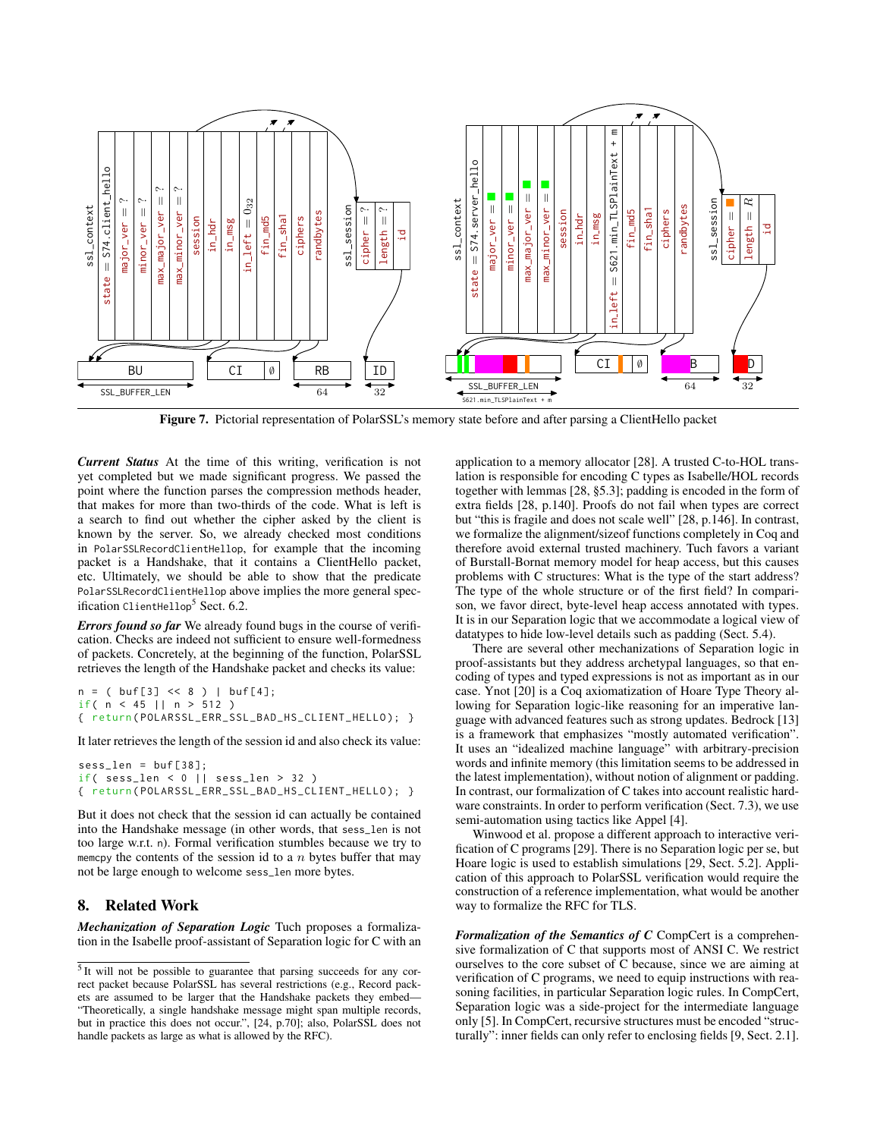

Figure 7. Pictorial representation of PolarSSL's memory state before and after parsing a ClientHello packet

*Current Status* At the time of this writing, verification is not yet completed but we made significant progress. We passed the point where the function parses the compression methods header, that makes for more than two-thirds of the code. What is left is a search to find out whether the cipher asked by the client is known by the server. So, we already checked most conditions in PolarSSLRecordClientHellop, for example that the incoming packet is a Handshake, that it contains a ClientHello packet, etc. Ultimately, we should be able to show that the predicate PolarSSLRecordClientHellop above implies the more general specification ClientHellop<sup>5</sup> Sect. 6.2.

*Errors found so far* We already found bugs in the course of verification. Checks are indeed not sufficient to ensure well-formedness of packets. Concretely, at the beginning of the function, PolarSSL retrieves the length of the Handshake packet and checks its value:

 $n = ( \text{buf}[3] << 8 ) | \text{buf}[4];$ if( n < 45 || n > 512 ) { return ( POLARSSL\_ERR\_SSL\_BAD\_HS\_CLIENT\_HELLO ); }

It later retrieves the length of the session id and also check its value:

```
sess_len = buf [38];
if( sess_len < 0 || sess_len > 32 )
{ return ( POLARSSL_ERR_SSL_BAD_HS_CLIENT_HELLO ); }
```
But it does not check that the session id can actually be contained into the Handshake message (in other words, that sess\_len is not too large w.r.t. n). Formal verification stumbles because we try to memcpy the contents of the session id to a  $n$  bytes buffer that may not be large enough to welcome sess\_len more bytes.

# 8. Related Work

*Mechanization of Separation Logic* Tuch proposes a formalization in the Isabelle proof-assistant of Separation logic for C with an

application to a memory allocator [28]. A trusted C-to-HOL translation is responsible for encoding C types as Isabelle/HOL records together with lemmas [28, §5.3]; padding is encoded in the form of extra fields [28, p.140]. Proofs do not fail when types are correct but "this is fragile and does not scale well" [28, p.146]. In contrast, we formalize the alignment/sizeof functions completely in Coq and therefore avoid external trusted machinery. Tuch favors a variant of Burstall-Bornat memory model for heap access, but this causes problems with C structures: What is the type of the start address? The type of the whole structure or of the first field? In comparison, we favor direct, byte-level heap access annotated with types. It is in our Separation logic that we accommodate a logical view of datatypes to hide low-level details such as padding (Sect. 5.4).

There are several other mechanizations of Separation logic in proof-assistants but they address archetypal languages, so that encoding of types and typed expressions is not as important as in our case. Ynot [20] is a Coq axiomatization of Hoare Type Theory allowing for Separation logic-like reasoning for an imperative language with advanced features such as strong updates. Bedrock [13] is a framework that emphasizes "mostly automated verification". It uses an "idealized machine language" with arbitrary-precision words and infinite memory (this limitation seems to be addressed in the latest implementation), without notion of alignment or padding. In contrast, our formalization of C takes into account realistic hardware constraints. In order to perform verification (Sect. 7.3), we use semi-automation using tactics like Appel [4].

Winwood et al. propose a different approach to interactive verification of C programs [29]. There is no Separation logic per se, but Hoare logic is used to establish simulations [29, Sect. 5.2]. Application of this approach to PolarSSL verification would require the construction of a reference implementation, what would be another way to formalize the RFC for TLS.

*Formalization of the Semantics of C* CompCert is a comprehensive formalization of C that supports most of ANSI C. We restrict ourselves to the core subset of C because, since we are aiming at verification of C programs, we need to equip instructions with reasoning facilities, in particular Separation logic rules. In CompCert, Separation logic was a side-project for the intermediate language only [5]. In CompCert, recursive structures must be encoded "structurally": inner fields can only refer to enclosing fields [9, Sect. 2.1].

<sup>&</sup>lt;sup>5</sup> It will not be possible to guarantee that parsing succeeds for any correct packet because PolarSSL has several restrictions (e.g., Record packets are assumed to be larger that the Handshake packets they embed— "Theoretically, a single handshake message might span multiple records, but in practice this does not occur.", [24, p.70]; also, PolarSSL does not handle packets as large as what is allowed by the RFC).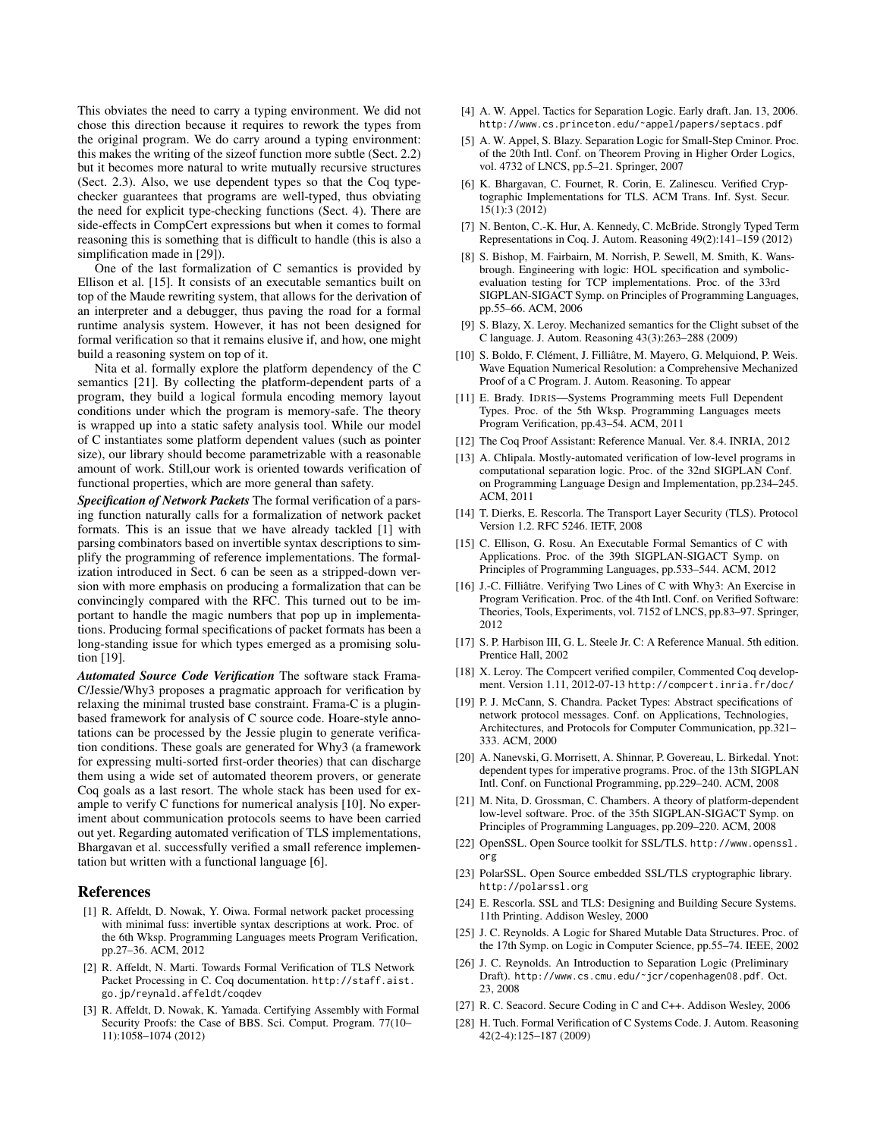This obviates the need to carry a typing environment. We did not chose this direction because it requires to rework the types from the original program. We do carry around a typing environment: this makes the writing of the sizeof function more subtle (Sect. 2.2) but it becomes more natural to write mutually recursive structures (Sect. 2.3). Also, we use dependent types so that the Coq typechecker guarantees that programs are well-typed, thus obviating the need for explicit type-checking functions (Sect. 4). There are side-effects in CompCert expressions but when it comes to formal reasoning this is something that is difficult to handle (this is also a simplification made in [29]).

One of the last formalization of C semantics is provided by Ellison et al. [15]. It consists of an executable semantics built on top of the Maude rewriting system, that allows for the derivation of an interpreter and a debugger, thus paving the road for a formal runtime analysis system. However, it has not been designed for formal verification so that it remains elusive if, and how, one might build a reasoning system on top of it.

Nita et al. formally explore the platform dependency of the C semantics [21]. By collecting the platform-dependent parts of a program, they build a logical formula encoding memory layout conditions under which the program is memory-safe. The theory is wrapped up into a static safety analysis tool. While our model of C instantiates some platform dependent values (such as pointer size), our library should become parametrizable with a reasonable amount of work. Still,our work is oriented towards verification of functional properties, which are more general than safety.

*Specification of Network Packets* The formal verification of a parsing function naturally calls for a formalization of network packet formats. This is an issue that we have already tackled [1] with parsing combinators based on invertible syntax descriptions to simplify the programming of reference implementations. The formalization introduced in Sect. 6 can be seen as a stripped-down version with more emphasis on producing a formalization that can be convincingly compared with the RFC. This turned out to be important to handle the magic numbers that pop up in implementations. Producing formal specifications of packet formats has been a long-standing issue for which types emerged as a promising solution [19].

*Automated Source Code Verification* The software stack Frama-C/Jessie/Why3 proposes a pragmatic approach for verification by relaxing the minimal trusted base constraint. Frama-C is a pluginbased framework for analysis of C source code. Hoare-style annotations can be processed by the Jessie plugin to generate verification conditions. These goals are generated for Why3 (a framework for expressing multi-sorted first-order theories) that can discharge them using a wide set of automated theorem provers, or generate Coq goals as a last resort. The whole stack has been used for example to verify C functions for numerical analysis [10]. No experiment about communication protocols seems to have been carried out yet. Regarding automated verification of TLS implementations, Bhargavan et al. successfully verified a small reference implementation but written with a functional language [6].

# References

- [1] R. Affeldt, D. Nowak, Y. Oiwa. Formal network packet processing with minimal fuss: invertible syntax descriptions at work. Proc. of the 6th Wksp. Programming Languages meets Program Verification, pp.27–36. ACM, 2012
- [2] R. Affeldt, N. Marti. Towards Formal Verification of TLS Network Packet Processing in C. Coq documentation. http://staff.aist. go.jp/reynald.affeldt/coqdev
- [3] R. Affeldt, D. Nowak, K. Yamada. Certifying Assembly with Formal Security Proofs: the Case of BBS. Sci. Comput. Program. 77(10– 11):1058–1074 (2012)
- [4] A. W. Appel. Tactics for Separation Logic. Early draft. Jan. 13, 2006. http://www.cs.princeton.edu/˜appel/papers/septacs.pdf
- [5] A. W. Appel, S. Blazy. Separation Logic for Small-Step Cminor. Proc. of the 20th Intl. Conf. on Theorem Proving in Higher Order Logics, vol. 4732 of LNCS, pp.5–21. Springer, 2007
- [6] K. Bhargavan, C. Fournet, R. Corin, E. Zalinescu. Verified Cryptographic Implementations for TLS. ACM Trans. Inf. Syst. Secur. 15(1):3 (2012)
- [7] N. Benton, C.-K. Hur, A. Kennedy, C. McBride. Strongly Typed Term Representations in Coq. J. Autom. Reasoning 49(2):141–159 (2012)
- [8] S. Bishop, M. Fairbairn, M. Norrish, P. Sewell, M. Smith, K. Wansbrough. Engineering with logic: HOL specification and symbolicevaluation testing for TCP implementations. Proc. of the 33rd SIGPLAN-SIGACT Symp. on Principles of Programming Languages, pp.55–66. ACM, 2006
- [9] S. Blazy, X. Leroy. Mechanized semantics for the Clight subset of the C language. J. Autom. Reasoning 43(3):263–288 (2009)
- [10] S. Boldo, F. Clément, J. Filliâtre, M. Mayero, G. Melquiond, P. Weis. Wave Equation Numerical Resolution: a Comprehensive Mechanized Proof of a C Program. J. Autom. Reasoning. To appear
- [11] E. Brady. IDRIS—Systems Programming meets Full Dependent Types. Proc. of the 5th Wksp. Programming Languages meets Program Verification, pp.43–54. ACM, 2011
- [12] The Coq Proof Assistant: Reference Manual. Ver. 8.4. INRIA, 2012
- [13] A. Chlipala. Mostly-automated verification of low-level programs in computational separation logic. Proc. of the 32nd SIGPLAN Conf. on Programming Language Design and Implementation, pp.234–245. ACM, 2011
- [14] T. Dierks, E. Rescorla. The Transport Layer Security (TLS). Protocol Version 1.2. RFC 5246. IETF, 2008
- [15] C. Ellison, G. Rosu. An Executable Formal Semantics of C with Applications. Proc. of the 39th SIGPLAN-SIGACT Symp. on Principles of Programming Languages, pp.533–544. ACM, 2012
- [16] J.-C. Filliâtre. Verifying Two Lines of C with Why3: An Exercise in Program Verification. Proc. of the 4th Intl. Conf. on Verified Software: Theories, Tools, Experiments, vol. 7152 of LNCS, pp.83–97. Springer, 2012
- [17] S. P. Harbison III, G. L. Steele Jr. C: A Reference Manual. 5th edition. Prentice Hall, 2002
- [18] X. Leroy. The Compcert verified compiler, Commented Coq development. Version 1.11, 2012-07-13 http://compcert.inria.fr/doc/
- [19] P. J. McCann, S. Chandra. Packet Types: Abstract specifications of network protocol messages. Conf. on Applications, Technologies, Architectures, and Protocols for Computer Communication, pp.321– 333. ACM, 2000
- [20] A. Nanevski, G. Morrisett, A. Shinnar, P. Govereau, L. Birkedal. Ynot: dependent types for imperative programs. Proc. of the 13th SIGPLAN Intl. Conf. on Functional Programming, pp.229–240. ACM, 2008
- [21] M. Nita, D. Grossman, C. Chambers. A theory of platform-dependent low-level software. Proc. of the 35th SIGPLAN-SIGACT Symp. on Principles of Programming Languages, pp.209–220. ACM, 2008
- [22] OpenSSL. Open Source toolkit for SSL/TLS. http://www.openssl. org
- [23] PolarSSL. Open Source embedded SSL/TLS cryptographic library. http://polarssl.org
- [24] E. Rescorla. SSL and TLS: Designing and Building Secure Systems. 11th Printing. Addison Wesley, 2000
- [25] J. C. Reynolds. A Logic for Shared Mutable Data Structures. Proc. of the 17th Symp. on Logic in Computer Science, pp.55–74. IEEE, 2002
- [26] J. C. Reynolds. An Introduction to Separation Logic (Preliminary Draft). http://www.cs.cmu.edu/˜jcr/copenhagen08.pdf. Oct. 23, 2008
- [27] R. C. Seacord. Secure Coding in C and C++. Addison Wesley, 2006
- [28] H. Tuch. Formal Verification of C Systems Code. J. Autom. Reasoning 42(2-4):125–187 (2009)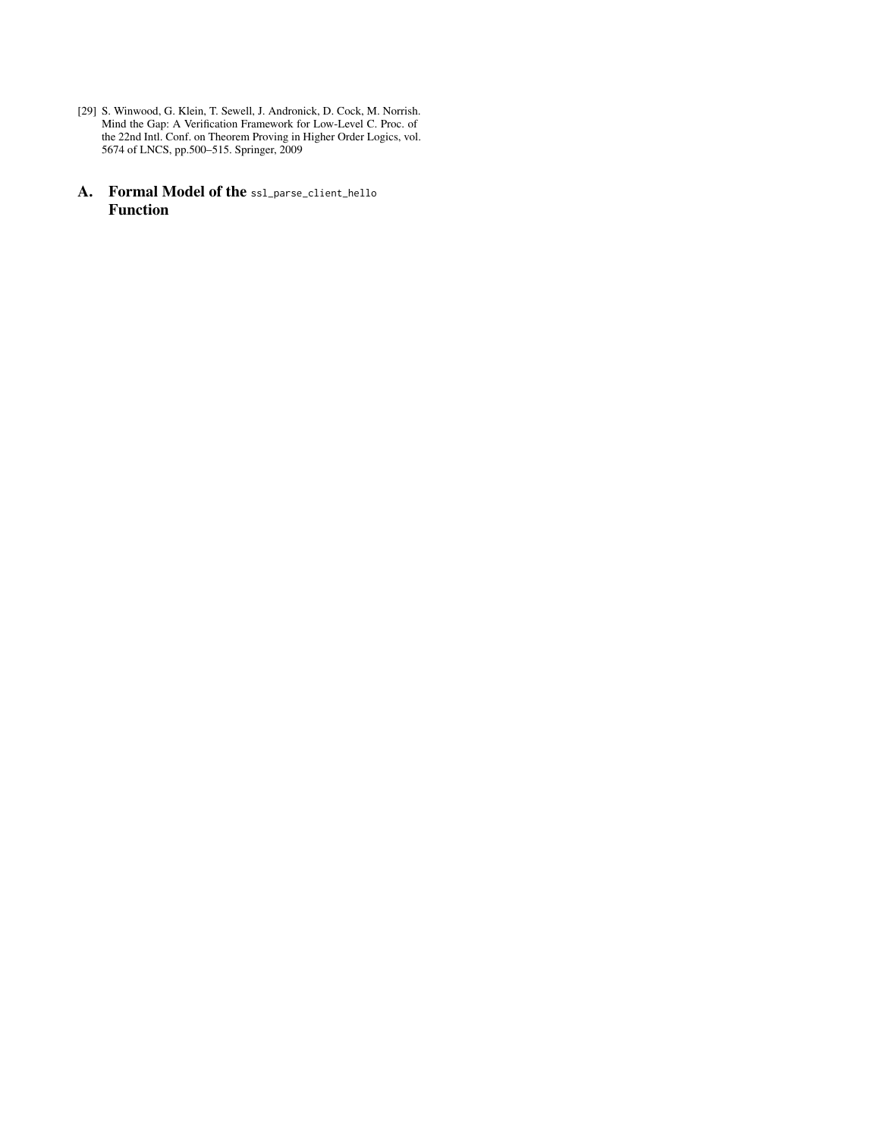- [29] S. Winwood, G. Klein, T. Sewell, J. Andronick, D. Cock, M. Norrish. Mind the Gap: A Verification Framework for Low-Level C. Proc. of the 22nd Intl. Conf. on Theorem Proving in Higher Order Logics, vol. 5674 of LNCS, pp.500–515. Springer, 2009
- A. Formal Model of the ssl\_parse\_client\_hello Function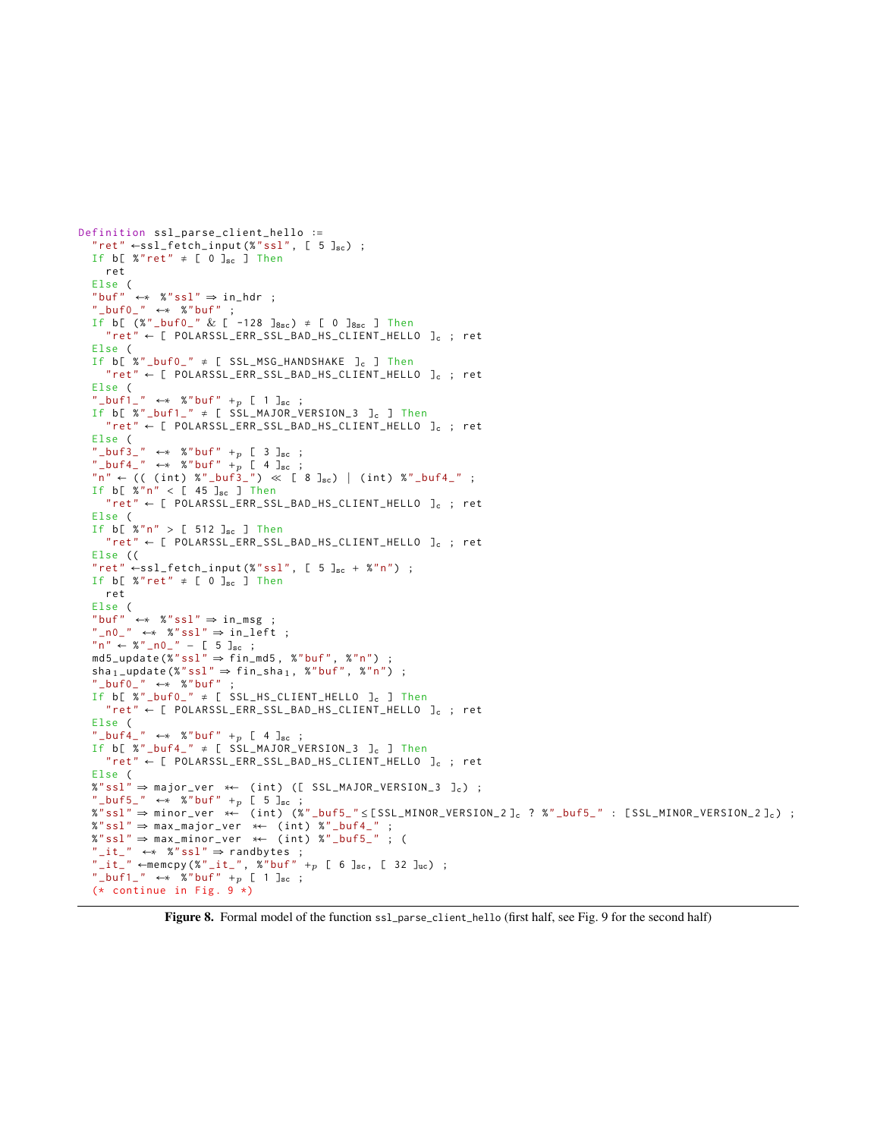```
"ret" \leftarrow ssl_fetch_input (%"ssl", [ 5 ]<sub>sc</sub>) ;
If b[ %"ret" \neq [ 0 ]<sub>sc</sub> ] Then
  ret
Else (<br>"buf"
        \leftrightarrow %"ssl" \Rightarrow in_hdr ;
"\_buf0" \leftrightarrow %"buf" ;
If b [ (%"_buf0_" & [ -128 ]_{8sc}) \neq [ 0 ]_{8sc} ] Then
  "ret" \leftarrow [POLARSSL\_ERR\_SSL_BAD_HS_CLIENT_HELLO]c; retElse (
If b[ %"_buf0_" \neq [ SSL_MSG_HANDSHAKE ]<sub>c</sub> ] Then
   "ret" \leftarrow [ POLARSSL_ERR_SSL_BAD_HS_CLIENT_HELLO ]_{c} ; ret
Else (
"_buf1_" ←* %"buf" +p [ 1 ]<sub>sc</sub> ;
If b[ %"_buf1_" \neq [ SSL_MAJOR_VERSION_3 ]<sub>c</sub> ] Then
   "ret" ← [ POLARSSL_ERR_SSL_BAD_HS_CLIENT_HELLO ]c ; ret
Else (
" _buf3_" \leftrightarrow %" buf" +p [ 3 ]sc ;
" _b buf4_" ←* %"buf" +p [ 4 ]sc;
"n" \leftarrow (( (int) % "buf3" ) \times [ 8 ]_{sc} ) (int) "buf4" ;If b \left[ 2 \frac{m}{n} \right] < \left[ 45 \right]<sub>sc</sub> \left[ 1 \right] Then
   "ret" \leftarrow [POLARSSL_ERR_SSL_BAD_HS_CLIENT_HELLO]_{c}; ret
Else (
If b[ %"n" > [ 512 ]_{sc} ] Then
   "ret" \leftarrow [POLARSSL_ERR_SSL_BAD_HS_CLIENT_HELLO]_{c}; ret
Else ((
"ret" \leftarrow ss1_fetch_input (%"ssl", [ 5 ]<sub>sc</sub> + %"n") ;
If b[ %"ret" \neq [ 0 ]sc ] Then
  ret
Else (<br>"buf"
        \leftrightarrow %"ssl" \Rightarrow in_msg ;
"\_n0" \leftrightarrow %"ss1" \Rightarrow in\_left ;"n" \leftarrow %"_{-}n0" - [5]_{sc} ;md5_update (\sqrt[n]{s} \text{ s} \text{ s} \text{ l}^n \Rightarrow \text{fin\_md5}, %"buf", %"n") ;
sha_1_update (%"ssl" \Rightarrow fin_sha<sub>1</sub>, %"buf", %"n") ;
 _buf0" \leftarrow* %"buf"
If b [ %" _buf0_ " ≠ [ SSL_HS_CLIENT_HELLO ]c ] Then
   "ret" \leftarrow [ POLARSSL_ERR_SSL_BAD_HS_CLIENT_HELLO ]_c ; ret
Else (
" _buf_+'' \leftrightarrow %" buf" +p [ 4 ]sc;
If b[ \frac{1}{2} \frac{1}{2} \frac{1}{2} \frac{1}{2} \frac{1}{2} \frac{1}{2} \frac{1}{2} \frac{1}{2} \frac{1}{2} \frac{1}{2} \frac{1}{2} \frac{1}{2} \frac{1}{2} \frac{1}{2} \frac{1}{2} \frac{1}{2} \frac{1}{2} \frac{1}{2} \frac{1}{2} \frac{1}{2} \frac{1}{2} \frac"ret" \leftarrow [POLARSSL_ERR_SSL_BAD_HS_CLIENT_HELLO]c ; retElse (
\overline{x}"ssl" ⇒ major_ver *← (int) ([ SSL_MAJOR_VERSION_3 ]c) ;
"_buf5_" ←* %"buf" +p [ 5 ]sc;
\%"ssl" ⇒ minor_ver \star\leftarrow (int) (\%"_buf5_" \le [SSL_MINOR_VERSION_2]<sub>c</sub> ? %"_buf5_" : [SSL_MINOR_VERSION_2]<sub>c</sub>) ;
%"ssl" ⇒ max_major_ver ∗← ( int ) %" _buf4_ " ;
%"ssl" ⇒ max_minor_ver ∗← ( int ) %" _buf5_ " ; (
"_it_ " \leftrightarrow "s"ss1" \Rightarrow randbytes ;
"_it_ " = \text{memory } (* "_it_", % "buf" + p [ 6 ]<sub>sc</sub>, [ 32 ]<sub>uc</sub>) ;" _buf1" ← %" buf" + _p [ 1 ]<sub>sc</sub> ;
(* continue in Fig. 9 *)
```
Definition ssl\_parse\_client\_hello ∶=

Figure 8. Formal model of the function ssl\_parse\_client\_hello (first half, see Fig. 9 for the second half)